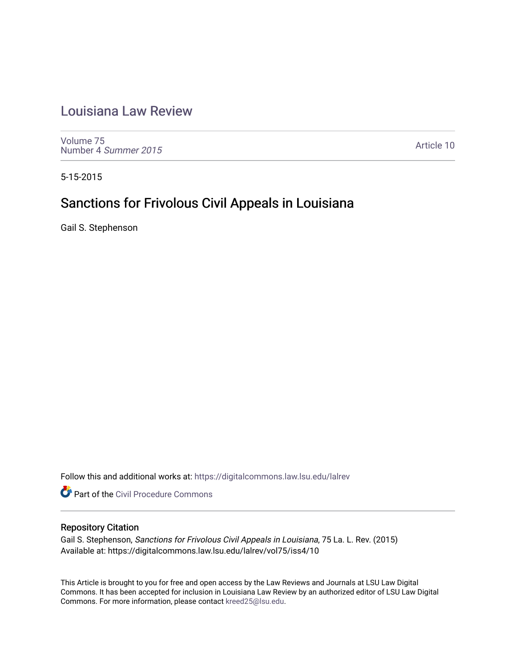# [Louisiana Law Review](https://digitalcommons.law.lsu.edu/lalrev)

[Volume 75](https://digitalcommons.law.lsu.edu/lalrev/vol75) [Number 4](https://digitalcommons.law.lsu.edu/lalrev/vol75/iss4) Summer 2015

[Article 10](https://digitalcommons.law.lsu.edu/lalrev/vol75/iss4/10) 

5-15-2015

# Sanctions for Frivolous Civil Appeals in Louisiana

Gail S. Stephenson

Follow this and additional works at: [https://digitalcommons.law.lsu.edu/lalrev](https://digitalcommons.law.lsu.edu/lalrev?utm_source=digitalcommons.law.lsu.edu%2Flalrev%2Fvol75%2Fiss4%2F10&utm_medium=PDF&utm_campaign=PDFCoverPages)

**Part of the Civil Procedure Commons** 

# Repository Citation

Gail S. Stephenson, Sanctions for Frivolous Civil Appeals in Louisiana, 75 La. L. Rev. (2015) Available at: https://digitalcommons.law.lsu.edu/lalrev/vol75/iss4/10

This Article is brought to you for free and open access by the Law Reviews and Journals at LSU Law Digital Commons. It has been accepted for inclusion in Louisiana Law Review by an authorized editor of LSU Law Digital Commons. For more information, please contact [kreed25@lsu.edu](mailto:kreed25@lsu.edu).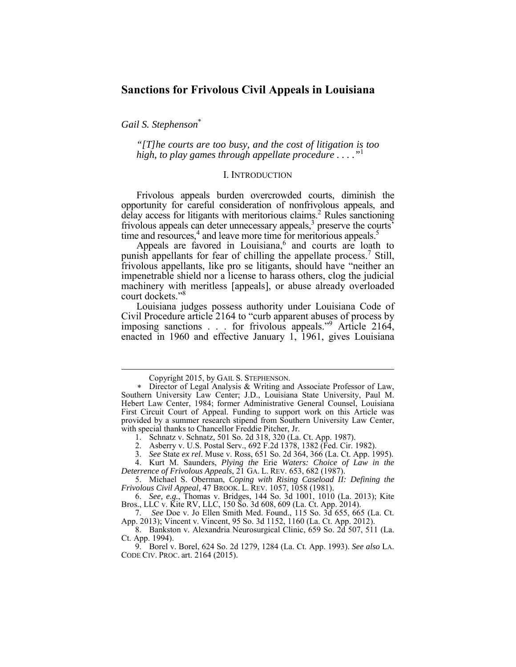# **Sanctions for Frivolous Civil Appeals in Louisiana**

*Gail S. Stephenson*\*

<u>.</u>

*"[T]he courts are too busy, and the cost of litigation is too high, to play games through appellate procedure . . . ."*<sup>1</sup>

## I. INTRODUCTION

delay access for litigants with meritorious claims.<sup>2</sup> Rules sanctioning Frivolous appeals burden overcrowded courts, diminish the opportunity for careful consideration of nonfrivolous appeals, and frivolous appeals can deter unnecessary appeals, $3$  preserve the courts' time and resources,<sup>4</sup> and leave more time for meritorious appeals.<sup>5</sup>

 impenetrable shield nor a license to harass others, clog the judicial Appeals are favored in Louisiana, $6$  and courts are loath to punish appellants for fear of chilling the appellate process.<sup>7</sup> Still, frivolous appellants, like pro se litigants, should have "neither an machinery with meritless [appeals], or abuse already overloaded court dockets."<sup>8</sup>

 Louisiana judges possess authority under Louisiana Code of imposing sanctions . . . for frivolous appeals."9 Article 2164, Civil Procedure article 2164 to "curb apparent abuses of process by enacted in 1960 and effective January 1, 1961, gives Louisiana

3. *See* State *ex rel*. Muse v. Ross, 651 So. 2d 364, 366 (La. Ct. App. 1995).

 *Deterrence of Frivolous Appeals*, 21 GA. L. REV. 653, 682 (1987). 4. Kurt M. Saunders, *Plying the* Erie *Waters: Choice of Law in the* 

 *Frivolous Civil Appeal*, 47 BROOK. L. REV. 1057, 1058 (1981). 5. Michael S. Oberman, *Coping with Rising Caseload II: Defining the* 

 6. *See, e.g.*, Thomas v. Bridges, 144 So. 3d 1001, 1010 (La. 2013); Kite Bros., LLC v. Kite RV, LLC, 150 So. 3d 608, 609 (La. Ct. App. 2014).

7. *See* Doe v. Jo Ellen Smith Med. Found., 115 So. 3d 655, 665 (La. Ct. App. 2013); Vincent v. Vincent, 95 So. 3d 1152, 1160 (La. Ct. App. 2012).

 8. Bankston v. Alexandria Neurosurgical Clinic, 659 So. 2d 507, 511 (La. Ct. App. 1994).

 9. Borel v. Borel, 624 So. 2d 1279, 1284 (La. Ct. App. 1993). *See also* LA. CODE CIV. PROC. art. 2164 (2015).

Copyright 2015, by GAIL S. STEPHENSON.

 Director of Legal Analysis & Writing and Associate Professor of Law, Southern University Law Center; J.D., Louisiana State University, Paul M. Hebert Law Center, 1984; former Administrative General Counsel, Louisiana First Circuit Court of Appeal. Funding to support work on this Article was provided by a summer research stipend from Southern University Law Center, with special thanks to Chancellor Freddie Pitcher, Jr.

<sup>1.</sup> Schnatz v. Schnatz, 501 So. 2d 318, 320 (La. Ct. App. 1987).

<sup>2.</sup> Asberry v. U.S. Postal Serv., 692 F.2d 1378, 1382 (Fed. Cir. 1982).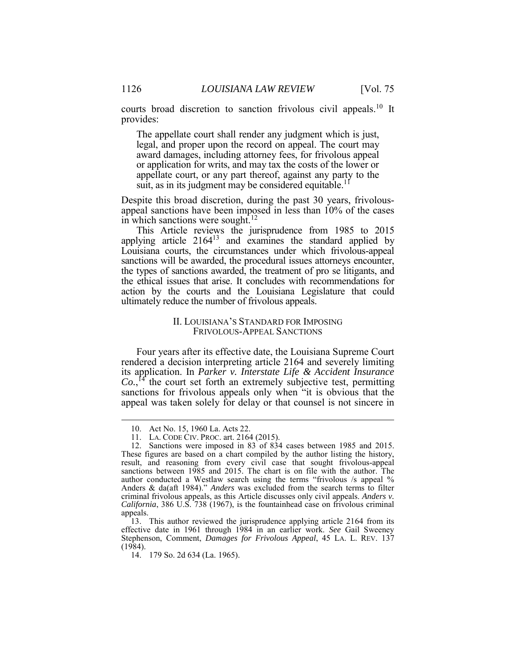courts broad discretion to sanction frivolous civil appeals.<sup>10</sup> It provides:

 The appellate court shall render any judgment which is just, award damages, including attorney fees, for frivolous appeal or application for writs, and may tax the costs of the lower or appellate court, or any part thereof, against any party to the legal, and proper upon the record on appeal. The court may suit, as in its judgment may be considered equitable.<sup>11</sup>

 Despite this broad discretion, during the past 30 years, frivolousappeal sanctions have been imposed in less than 10% of the cases in which sanctions were sought.<sup>12</sup>

 the types of sanctions awarded, the treatment of pro se litigants, and action by the courts and the Louisiana Legislature that could ultimately reduce the number of frivolous appeals. This Article reviews the jurisprudence from 1985 to 2015 applying article  $2164^{13}$  and examines the standard applied by Louisiana courts, the circumstances under which frivolous-appeal sanctions will be awarded, the procedural issues attorneys encounter, the ethical issues that arise. It concludes with recommendations for

# II. LOUISIANA'S STANDARD FOR IMPOSING FRIVOLOUS-APPEAL SANCTIONS

 Four years after its effective date, the Louisiana Supreme Court  $Co.$ <sup>[4]</sup> the court set forth an extremely subjective test, permitting appeal was taken solely for delay or that counsel is not sincere in rendered a decision interpreting article 2164 and severely limiting its application. In *Parker v. Interstate Life & Accident Insurance*  sanctions for frivolous appeals only when "it is obvious that the

<sup>10.</sup> Act No. 15, 1960 La. Acts 22.

<sup>11.</sup> LA. CODE CIV. PROC. art. 2164 (2015).

 12. Sanctions were imposed in 83 of 834 cases between 1985 and 2015. result, and reasoning from every civil case that sought frivolous-appeal author conducted a Westlaw search using the terms "frivolous /s appeal % Anders & da(aft 1984)." *Anders* was excluded from the search terms to filter *California*, 386 U.S. 738 (1967), is the fountainhead case on frivolous criminal These figures are based on a chart compiled by the author listing the history, sanctions between 1985 and 2015. The chart is on file with the author. The criminal frivolous appeals, as this Article discusses only civil appeals. *Anders v.*  appeals.

 effective date in 1961 through 1984 in an earlier work. *See* Gail Sweeney Stephenson, Comment, *Damages for Frivolous Appeal*, 45 LA. L. REV. 137 13. This author reviewed the jurisprudence applying article 2164 from its (1984).

<sup>14. 179</sup> So. 2d 634 (La. 1965).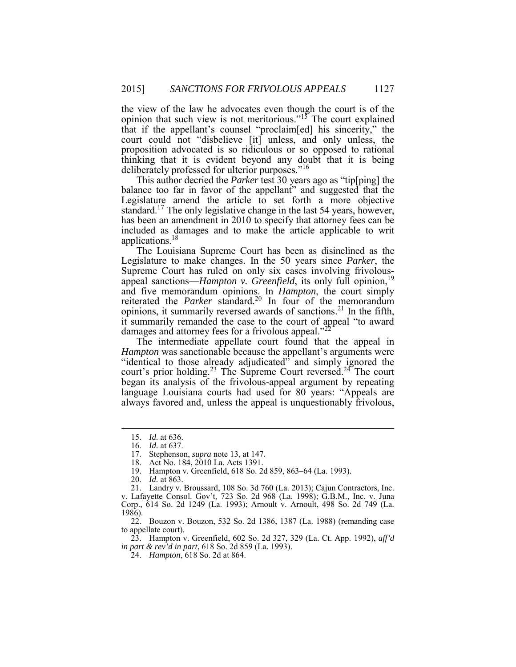the view of the law he advocates even though the court is of the opinion that such view is not meritorious."<sup>15</sup> The court explained that if the appellant's counsel "proclaim[ed] his sincerity," the court could not "disbelieve [it] unless, and only unless, the proposition advocated is so ridiculous or so opposed to rational thinking that it is evident beyond any doubt that it is being deliberately professed for ulterior purposes."<sup>16</sup>

 This author decried the *Parker* test 30 years ago as "tip[ping] the balance too far in favor of the appellant" and suggested that the Legislature amend the article to set forth a more objective standard.<sup>17</sup> The only legislative change in the last 54 years, however, included as damages and to make the article applicable to writ has been an amendment in 2010 to specify that attorney fees can be applications.<sup>18</sup>

 The Louisiana Supreme Court has been as disinclined as the Legislature to make changes. In the 50 years since *Parker*, the reiterated the *Parker* standard.<sup>20</sup> In four of the memorandum opinions, it summarily reversed awards of sanctions.<sup>21</sup> In the fifth, it summarily remanded the case to the court of appeal "to award Ĩ Supreme Court has ruled on only six cases involving frivolousappeal sanctions—*Hampton v. Greenfield*, its only full opinion,<sup>19</sup> and five memorandum opinions. In *Hampton*, the court simply damages and attorney fees for a frivolous appeal. $"$ <sup>2</sup>

 *Hampton* was sanctionable because the appellant's arguments were "identical to those already adjudicated" and simply ignored the court's prior holding.<sup>23</sup> The Supreme Court reversed.<sup>24</sup> The court always favored and, unless the appeal is unquestionably frivolous, The intermediate appellate court found that the appeal in began its analysis of the frivolous-appeal argument by repeating language Louisiana courts had used for 80 years: "Appeals are

<u>.</u>

 23. Hampton v. Greenfield, 602 So. 2d 327, 329 (La. Ct. App. 1992), *aff'd in part & rev'd in part*, 618 So. 2d 859 (La. 1993).

<sup>15.</sup> *Id.* at 636.

<sup>16.</sup> *Id.* at 637.

 17. Stephenson, *supra* note 13, at 147.

<sup>18.</sup> Act No. 184, 2010 La. Acts 1391.

<sup>19.</sup> Hampton v. Greenfield, 618 So. 2d 859, 863–64 (La. 1993).

<sup>20.</sup> *Id.* at 863.

 v. Lafayette Consol. Gov't, 723 So. 2d 968 (La. 1998); G.B.M., Inc. v. Juna 21. Landry v. Broussard, 108 So. 3d 760 (La. 2013); Cajun Contractors, Inc. Corp., 614 So. 2d 1249 (La. 1993); Arnoult v. Arnoult, 498 So. 2d 749 (La. 1986).

 22. Bouzon v. Bouzon, 532 So. 2d 1386, 1387 (La. 1988) (remanding case to appellate court).

 24. *Hampton*, 618 So. 2d at 864.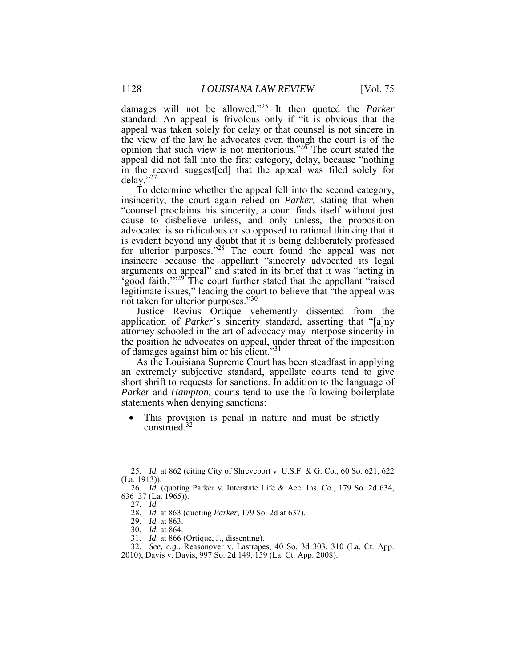damages will not be allowed."<sup>25</sup> It then quoted the *Parker*  appeal was taken solely for delay or that counsel is not sincere in appeal did not fall into the first category, delay, because "nothing in the record suggest[ed] that the appeal was filed solely for standard: An appeal is frivolous only if "it is obvious that the the view of the law he advocates even though the court is of the opinion that such view is not meritorious."<sup>26</sup> The court stated the delay."<sup>27</sup>

 insincerity, the court again relied on *Parker*, stating that when "counsel proclaims his sincerity, a court finds itself without just cause to disbelieve unless, and only unless, the proposition insincere because the appellant "sincerely advocated its legal Ī legitimate issues," leading the court to believe that "the appeal was To determine whether the appeal fell into the second category, advocated is so ridiculous or so opposed to rational thinking that it is evident beyond any doubt that it is being deliberately professed for ulterior purposes."<sup>28</sup> The court found the appeal was not arguments on appeal" and stated in its brief that it was "acting in 'good faith.'"<sup>29</sup> The court further stated that the appellant "raised" not taken for ulterior purposes."<sup>30</sup>

 application of *Parker*'s sincerity standard, asserting that "[a]ny attorney schooled in the art of advocacy may interpose sincerity in Justice Revius Ortique vehemently dissented from the the position he advocates on appeal, under threat of the imposition of damages against him or his client."31

 As the Louisiana Supreme Court has been steadfast in applying an extremely subjective standard, appellate courts tend to give short shrift to requests for sanctions. In addition to the language of *Parker* and *Hampton*, courts tend to use the following boilerplate statements when denying sanctions:

 This provision is penal in nature and must be strictly construed.<sup>32</sup>

<sup>25.</sup> *Id.* at 862 (citing City of Shreveport v. U.S.F. & G. Co., 60 So. 621, 622 (La. 1913)).

 26. *Id.* (quoting Parker v. Interstate Life & Acc. Ins. Co., 179 So. 2d 634, 636–37 (La. 1965)).

 27. *Id.* 

 28. *Id.* at 863 (quoting *Parker*, 179 So. 2d at 637).

 29. *Id.* at 863.

<sup>30.</sup> *Id.* at 864.

<sup>31.</sup> *Id.* at 866 (Ortique, J., dissenting).

 32. *See, e.g.*, Reasonover v. Lastrapes, 40 So. 3d 303, 310 (La. Ct. App. 2010); Davis v. Davis, 997 So. 2d 149, 159 (La. Ct. App. 2008).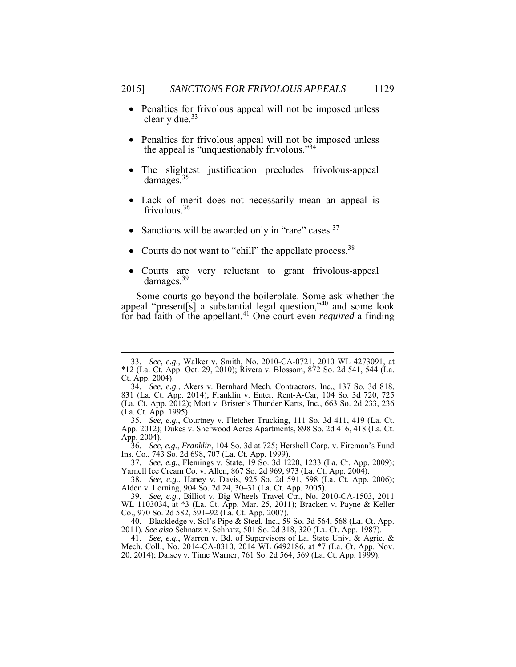- Penalties for frivolous appeal will not be imposed unless clearly due.<sup>33</sup>
- Penalties for frivolous appeal will not be imposed unless the appeal is "unquestionably frivolous."<sup>34</sup>
- The slightest justification precludes frivolous-appeal damages.<sup>35</sup>
- Lack of merit does not necessarily mean an appeal is frivolous.<sup>36</sup>
- Sanctions will be awarded only in "rare" cases.  $37$

<u>.</u>

- Courts do not want to "chill" the appellate process.<sup>38</sup>
- Courts are very reluctant to grant frivolous-appeal damages.<sup>39</sup>

appeal "present[s] a substantial legal question," 40 and some look Some courts go beyond the boilerplate. Some ask whether the for bad faith of the appellant.<sup>41</sup> One court even *required* a finding

 \*12 (La. Ct. App. Oct. 29, 2010); Rivera v. Blossom, 872 So. 2d 541, 544 (La. 33. *See, e.g.*, Walker v. Smith, No. 2010-CA-0721, 2010 WL 4273091, at Ct. App. 2004).

 831 (La. Ct. App. 2014); Franklin v. Enter. Rent-A-Car, 104 So. 3d 720, 725 (La. Ct. App. 1995). 34. *See, e.g.*, Akers v. Bernhard Mech. Contractors, Inc., 137 So. 3d 818, (La. Ct. App. 2012); Mott v. Brister's Thunder Karts, Inc., 663 So. 2d 233, 236

<sup>35.</sup> *See, e.g.*, Courtney v. Fletcher Trucking, 111 So. 3d 411, 419 (La. Ct. App. 2012); Dukes v. Sherwood Acres Apartments, 898 So. 2d 416, 418 (La. Ct. App. 2004).

 36. *See, e.g.*, *Franklin*, 104 So. 3d at 725; Hershell Corp. v. Fireman's Fund Ins. Co., 743 So. 2d 698, 707 (La. Ct. App. 1999).

<sup>37.</sup> *See, e.g.*, Flemings v. State, 19 So. 3d 1220, 1233 (La. Ct. App. 2009); Yarnell Ice Cream Co. v. Allen, 867 So. 2d 969, 973 (La. Ct. App. 2004).

 Alden v. Lorning, 904 So. 2d 24, 30–31 (La. Ct. App. 2005). 38. *See, e.g.*, Haney v. Davis, 925 So. 2d 591, 598 (La. Ct. App. 2006);

 Co., 970 So. 2d 582, 591–92 (La. Ct. App. 2007). 39. *See, e.g.*, Billiot v. Big Wheels Travel Ctr., No. 2010-CA-1503, 2011 WL 1103034, at \*3 (La. Ct. App. Mar. 25, 2011); Bracken v. Payne & Keller

 40. Blackledge v. Sol's Pipe & Steel, Inc., 59 So. 3d 564, 568 (La. Ct. App. 2011). *See also* Schnatz v. Schnatz, 501 So. 2d 318, 320 (La. Ct. App. 1987).

 41. *See, e.g.*, Warren v. Bd. of Supervisors of La. State Univ. & Agric. & Mech. Coll., No. 2014-CA-0310, 2014 WL 6492186, at \*7 (La. Ct. App. Nov. 20, 2014); Daisey v. Time Warner, 761 So. 2d 564, 569 (La. Ct. App. 1999).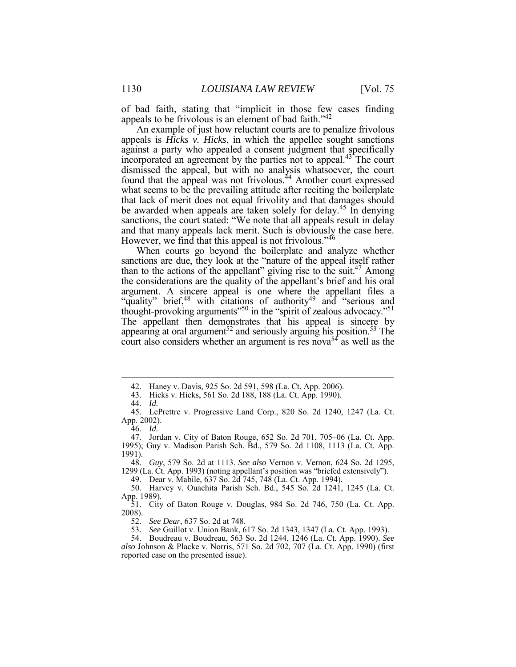of bad faith, stating that "implicit in those few cases finding appeals to be frivolous is an element of bad faith."<sup>42</sup>

 appeals is *Hicks v. Hicks*, in which the appellee sought sanctions against a party who appealed a consent judgment that specifically incorporated an agreement by the parties not to appeal.<sup>43</sup> The court dismissed the appeal, but with no analysis whatsoever, the court found that the appeal was not frivolous.<sup>44</sup> Another court expressed what seems to be the prevailing attitude after reciting the boilerplate that lack of merit does not equal frivolity and that damages should be awarded when appeals are taken solely for delay.<sup>45</sup> In denying sanctions, the court stated: "We note that all appeals result in delay An example of just how reluctant courts are to penalize frivolous and that many appeals lack merit. Such is obviously the case here. However, we find that this appeal is not frivolous.<sup>746</sup>

When courts go beyond the boilerplate and analyze whether sanctions are due, they look at the "nature of the appeal itself rather than to the actions of the appellant" giving rise to the suit.<sup>47</sup> Among the considerations are the quality of the appellant's brief and his oral "quality" brief,<sup>48</sup> with citations of authority<sup>49</sup> and "serious and The appellant then demonstrates that his appeal is sincere by appearing at oral argument<sup>52</sup> and seriously arguing his position.<sup>53</sup> The court also considers whether an argument is res nova<sup>54</sup> as well as the argument. A sincere appeal is one where the appellant files a thought-provoking arguments"<sup>50</sup> in the "spirit of zealous advocacy."<sup>51</sup>

<u>.</u>

 48. *Guy*, 579 So. 2d at 1113. *See also* Vernon v. Vernon, 624 So. 2d 1295, 1299 (La. Ct. App. 1993) (noting appellant's position was "briefed extensively").

49. Dear v. Mabile, 637 So. 2d 745, 748 (La. Ct. App. 1994).

 50. Harvey v. Ouachita Parish Sch. Bd., 545 So. 2d 1241, 1245 (La. Ct. App. 1989).

53. *See* Guillot v. Union Bank, 617 So. 2d 1343, 1347 (La. Ct. App. 1993).

<sup>42.</sup> Haney v. Davis, 925 So. 2d 591, 598 (La. Ct. App. 2006).

<sup>43.</sup> Hicks v. Hicks, 561 So. 2d 188, 188 (La. Ct. App. 1990).

<sup>44.</sup> *Id.* 

 45. LePrettre v. Progressive Land Corp., 820 So. 2d 1240, 1247 (La. Ct. App. 2002).

<sup>46.</sup> *Id.* 

 47. Jordan v. City of Baton Rouge, 652 So. 2d 701, 705–06 (La. Ct. App. 1995); Guy v. Madison Parish Sch. Bd., 579 So. 2d 1108, 1113 (La. Ct. App. 1991).

<sup>51.</sup> City of Baton Rouge v. Douglas, 984 So. 2d 746, 750 (La. Ct. App. 2008).

<sup>52.</sup> *See Dear*, 637 So. 2d at 748.

 *also* Johnson & Placke v. Norris, 571 So. 2d 702, 707 (La. Ct. App. 1990) (first reported case on the presented issue).54. Boudreau v. Boudreau, 563 So. 2d 1244, 1246 (La. Ct. App. 1990). *See*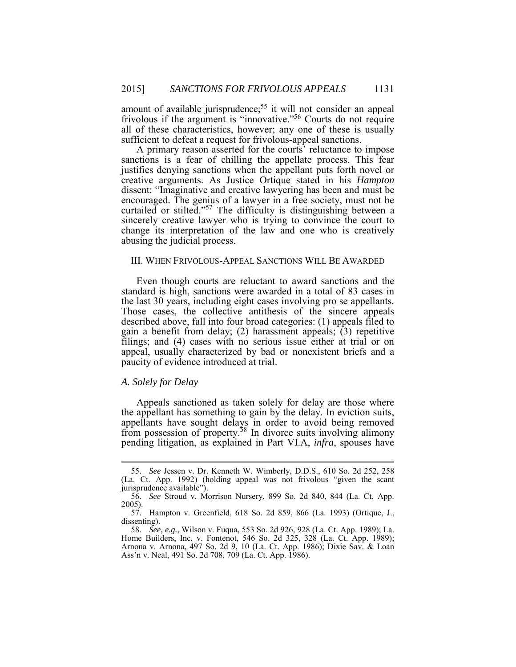amount of available jurisprudence;<sup>55</sup> it will not consider an appeal all of these characteristics, however; any one of these is usually frivolous if the argument is "innovative."56 Courts do not require sufficient to defeat a request for frivolous-appeal sanctions.

 sanctions is a fear of chilling the appellate process. This fear creative arguments. As Justice Ortique stated in his *Hampton* dissent: "Imaginative and creative lawyering has been and must be curtailed or stilted."<sup>57</sup> The difficulty is distinguishing between a sincerely creative lawyer who is trying to convince the court to change its interpretation of the law and one who is creatively A primary reason asserted for the courts' reluctance to impose justifies denying sanctions when the appellant puts forth novel or encouraged. The genius of a lawyer in a free society, must not be abusing the judicial process.

#### III. WHEN FRIVOLOUS-APPEAL SANCTIONS WILL BE AWARDED

 Even though courts are reluctant to award sanctions and the the last 30 years, including eight cases involving pro se appellants. filings; and (4) cases with no serious issue either at trial or on standard is high, sanctions were awarded in a total of 83 cases in Those cases, the collective antithesis of the sincere appeals described above, fall into four broad categories: (1) appeals filed to gain a benefit from delay; (2) harassment appeals; (3) repetitive appeal, usually characterized by bad or nonexistent briefs and a paucity of evidence introduced at trial.

#### *A. Solely for Delay*

1

 Appeals sanctioned as taken solely for delay are those where from possession of property.<sup>58</sup> In divorce suits involving alimony the appellant has something to gain by the delay. In eviction suits, appellants have sought delays in order to avoid being removed pending litigation, as explained in Part VI.A, *infra*, spouses have

 (La. Ct. App. 1992) (holding appeal was not frivolous "given the scant 55. *See* Jessen v. Dr. Kenneth W. Wimberly, D.D.S., 610 So. 2d 252, 258 jurisprudence available").

I 56. *See* Stroud v. Morrison Nursery, 899 So. 2d 840, 844 (La. Ct. App. 2005).

<sup>57.</sup> Hampton v. Greenfield, 618 So. 2d 859, 866 (La. 1993) (Ortique, J., dissenting).

 Home Builders, Inc. v. Fontenot, 546 So. 2d 325, 328 (La. Ct. App. 1989); 58. *See, e.g.*, Wilson v. Fuqua, 553 So. 2d 926, 928 (La. Ct. App. 1989); La. Arnona v. Arnona, 497 So. 2d 9, 10 (La. Ct. App. 1986); Dixie Sav. & Loan Ass'n v. Neal, 491 So. 2d 708, 709 (La. Ct. App. 1986).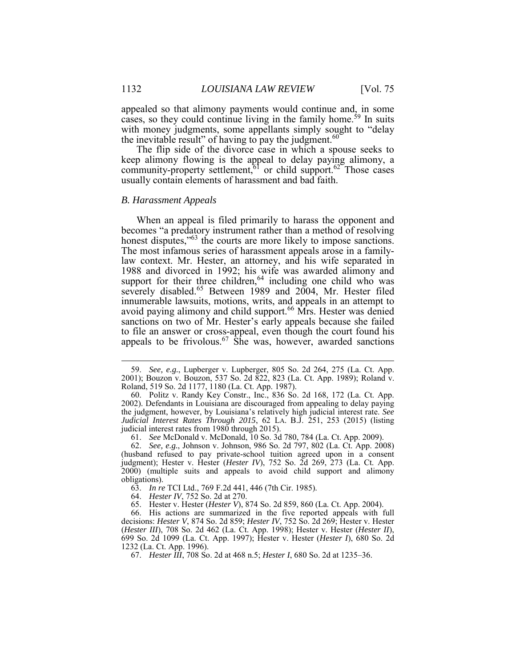cases, so they could continue living in the family home.<sup>59</sup> In suits appealed so that alimony payments would continue and, in some with money judgments, some appellants simply sought to "delay the inevitable result" of having to pay the judgment. $60$ 

 The flip side of the divorce case in which a spouse seeks to keep alimony flowing is the appeal to delay paying alimony, a community-property settlement,<sup>61</sup> or child support.<sup>62</sup> Those cases usually contain elements of harassment and bad faith.

#### *B. Harassment Appeals*

 becomes "a predatory instrument rather than a method of resolving The most infamous series of harassment appeals arose in a familyavoid paying alimony and child support.<sup>66</sup> Mrs. Hester was denied When an appeal is filed primarily to harass the opponent and honest disputes,"<sup>63</sup> the courts are more likely to impose sanctions. law context. Mr. Hester, an attorney, and his wife separated in 1988 and divorced in 1992; his wife was awarded alimony and support for their three children,  $64$  including one child who was severely disabled.<sup>65</sup> Between 1989 and 2004, Mr. Hester filed innumerable lawsuits, motions, writs, and appeals in an attempt to sanctions on two of Mr. Hester's early appeals because she failed to file an answer or cross-appeal, even though the court found his appeals to be frivolous.<sup>67</sup> She was, however, awarded sanctions

 2001); Bouzon v. Bouzon, 537 So. 2d 822, 823 (La. Ct. App. 1989); Roland v. 59. *See, e.g.*, Lupberger v. Lupberger, 805 So. 2d 264, 275 (La. Ct. App. Roland, 519 So. 2d 1177, 1180 (La. Ct. App. 1987).

 the judgment, however, by Louisiana's relatively high judicial interest rate. *See Judicial Interest Rates Through 2015*, 62 LA. B.J. 251, 253 (2015) (listing 60. Politz v. Randy Key Constr., Inc., 836 So. 2d 168, 172 (La. Ct. App. 2002). Defendants in Louisiana are discouraged from appealing to delay paying judicial interest rates from 1980 through 2015).

<sup>61.</sup> *See* McDonald v. McDonald, 10 So. 3d 780, 784 (La. Ct. App. 2009).

 (husband refused to pay private-school tuition agreed upon in a consent 2000) (multiple suits and appeals to avoid child support and alimony 62. *See, e.g.*, Johnson v. Johnson, 986 So. 2d 797, 802 (La. Ct. App. 2008) judgment); Hester v. Hester (*Hester IV*), 752 So. 2d 269, 273 (La. Ct. App. obligations).

<sup>63.</sup> *In re* TCI Ltd., 769 F.2d 441, 446 (7th Cir. 1985).

<sup>64.</sup> *Hester IV*, 752 So. 2d at 270.

<sup>65.</sup> Hester v. Hester (*Hester V*), 874 So. 2d 859, 860 (La. Ct. App. 2004).

 decisions: *Hester V*, 874 So. 2d 859; *Hester IV*, 752 So. 2d 269; Hester v. Hester (*Hester III*), 708 So. 2d 462 (La. Ct. App. 1998); Hester v. Hester (*Hester II*), 699 So. 2d 1099 (La. Ct. App. 1997); Hester v. Hester (*Hester I*), 680 So. 2d 66. His actions are summarized in the five reported appeals with full 1232 (La. Ct. App. 1996).

 67. *Hester III*, 708 So. 2d at 468 n.5; *Hester I*, 680 So. 2d at 1235–36.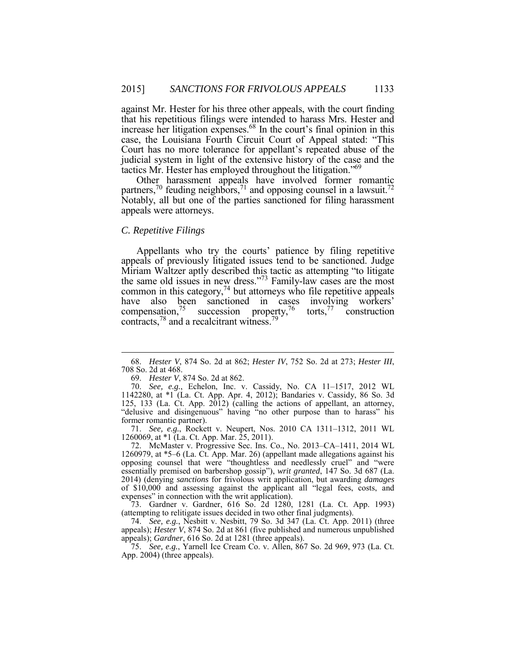against Mr. Hester for his three other appeals, with the court finding that his repetitious filings were intended to harass Mrs. Hester and increase her litigation expenses.<sup>68</sup> In the court's final opinion in this case, the Louisiana Fourth Circuit Court of Appeal stated: "This Court has no more tolerance for appellant's repeated abuse of the judicial system in light of the extensive history of the case and the tactics Mr. Hester has employed throughout the litigation."69

 Other harassment appeals have involved former romantic partners,<sup>70</sup> feuding neighbors,<sup>71</sup> and opposing counsel in a lawsuit.<sup>72</sup> Notably, all but one of the parties sanctioned for filing harassment appeals were attorneys.

# *C. Repetitive Filings*

<u>.</u>

 Appellants who try the courts' patience by filing repetitive appeals of previously litigated issues tend to be sanctioned. Judge Miriam Waltzer aptly described this tactic as attempting "to litigate the same old issues in new dress."<sup>73</sup> Family-law cases are the most common in this category, $74$  but attorneys who file repetitive appeals have also been sanctioned in cases involving workers' compensation,  $^{75}$  succession property,  $^{76}$  torts,  $^{77}$  construction contracts,<sup>78</sup> and a recalcitrant witness.<sup>79</sup>

 71. *See, e.g.*, Rockett v. Neupert, Nos. 2010 CA 1311–1312, 2011 WL 1260069, at \*1 (La. Ct. App. Mar. 25, 2011).

 72. McMaster v. Progressive Sec. Ins. Co., No. 2013–CA–1411, 2014 WL of \$10,000 and assessing against the applicant all "legal fees, costs, and expenses" in connection with the writ application). 1260979, at \*5–6 (La. Ct. App. Mar. 26) (appellant made allegations against his opposing counsel that were "thoughtless and needlessly cruel" and "were essentially premised on barbershop gossip"), *writ granted*, 147 So. 3d 687 (La. 2014) (denying *sanctions* for frivolous writ application, but awarding *damages* 

 (attempting to relitigate issues decided in two other final judgments). 73. Gardner v. Gardner, 616 So. 2d 1280, 1281 (La. Ct. App. 1993)

 appeals); *Hester V*, 874 So. 2d at 861 (five published and numerous unpublished 74. *See, e.g.*, Nesbitt v. Nesbitt, 79 So. 3d 347 (La. Ct. App. 2011) (three appeals); *Gardner*, 616 So. 2d at 1281 (three appeals).

 75. *See, e.g.*, Yarnell Ice Cream Co. v. Allen, 867 So. 2d 969, 973 (La. Ct. App. 2004) (three appeals).

 708 So. 2d at 468. 68. *Hester V*, 874 So. 2d at 862; *Hester IV*, 752 So. 2d at 273; *Hester III*,

<sup>69.</sup> *Hester V*, 874 So. 2d at 862.

 "delusive and disingenuous" having "no other purpose than to harass" his 70. *See, e.g.*, Echelon, Inc. v. Cassidy, No. CA 11–1517, 2012 WL 1142280, at \*1 (La. Ct. App. Apr. 4, 2012); Bandaries v. Cassidy, 86 So. 3d 125, 133 (La. Ct. App. 2012) (calling the actions of appellant, an attorney, former romantic partner).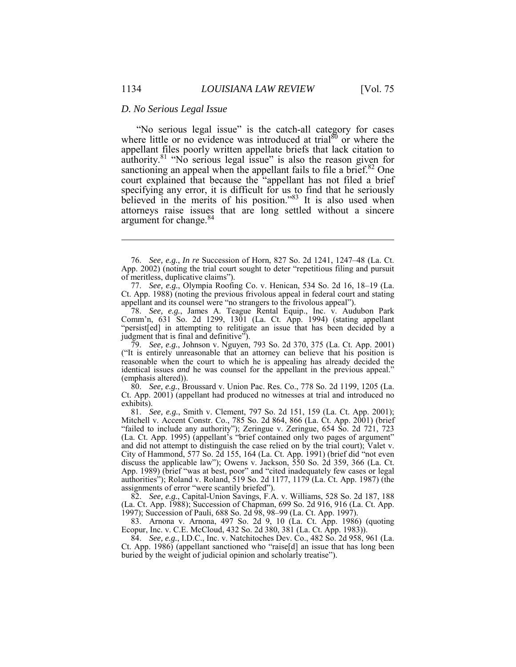#### *D. No Serious Legal Issue*

 "No serious legal issue" is the catch-all category for cases where little or no evidence was introduced at trial<sup>80</sup> or where the authority.<sup>81</sup> "No serious legal issue" is also the reason given for sanctioning an appeal when the appellant fails to file a brief. $82$  One specifying any error, it is difficult for us to find that he seriously appellant files poorly written appellate briefs that lack citation to court explained that because the "appellant has not filed a brief believed in the merits of his position."<sup>83</sup> It is also used when attorneys raise issues that are long settled without a sincere argument for change.<sup>84</sup>

78. *See, e.g.*, James A. Teague Rental Equip., Inc. v. Audubon Park Comm'n, 631 So. 2d 1299, 1301 (La. Ct. App. 1994) (stating appellant "persist[ed] in attempting to relitigate an issue that has been decided by a judgment that is final and definitive").

 79. *See, e.g.*, Johnson v. Nguyen, 793 So. 2d 370, 375 (La. Ct. App. 2001) ("It is entirely unreasonable that an attorney can believe that his position is reasonable when the court to which he is appealing has already decided the identical issues *and* he was counsel for the appellant in the previous appeal." (emphasis altered)).

 Ct. App. 2001) (appellant had produced no witnesses at trial and introduced no 80. *See, e.g.*, Broussard v. Union Pac. Res. Co., 778 So. 2d 1199, 1205 (La. exhibits).

 81. *See, e.g.*, Smith v. Clement, 797 So. 2d 151, 159 (La. Ct. App. 2001); Mitchell v. Accent Constr. Co., 785 So. 2d 864, 866 (La. Ct. App. 2001) (brief "failed to include any authority"); Zeringue v. Zeringue, 654 So. 2d 721, 723 (La. Ct. App. 1995) (appellant's "brief contained only two pages of argument" and did not attempt to distinguish the case relied on by the trial court); Valet v. City of Hammond, 577 So. 2d 155, 164 (La. Ct. App. 1991) (brief did "not even Ì discuss the applicable law"); Owens v. Jackson, 550 So. 2d 359, 366 (La. Ct. App. 1989) (brief "was at best, poor" and "cited inadequately few cases or legal authorities"); Roland v. Roland, 519 So. 2d 1177, 1179 (La. Ct. App. 1987) (the assignments of error "were scantily briefed").

82. *See, e.g.*, Capital-Union Savings, F.A. v. Williams, 528 So. 2d 187, 188 (La. Ct. App. 1988); Succession of Chapman, 699 So. 2d 916, 916 (La. Ct. App. 1997); Succession of Pauli, 688 So. 2d 98, 98–99 (La. Ct. App. 1997).

 83. Arnona v. Arnona, 497 So. 2d 9, 10 (La. Ct. App. 1986) (quoting Ecopur, Inc. v. C.E. McCloud, 432 So. 2d 380, 381 (La. Ct. App. 1983)).

 Ct. App. 1986) (appellant sanctioned who "raise[d] an issue that has long been 84. *See, e.g.*, I.D.C., Inc. v. Natchitoches Dev. Co., 482 So. 2d 958, 961 (La. buried by the weight of judicial opinion and scholarly treatise").

 76. *See, e.g.*, *In re* Succession of Horn, 827 So. 2d 1241, 1247–48 (La. Ct. App. 2002) (noting the trial court sought to deter "repetitious filing and pursuit of meritless, duplicative claims").

 77. *See, e.g.*, Olympia Roofing Co. v. Henican, 534 So. 2d 16, 18–19 (La. Ct. App. 1988) (noting the previous frivolous appeal in federal court and stating appellant and its counsel were "no strangers to the frivolous appeal").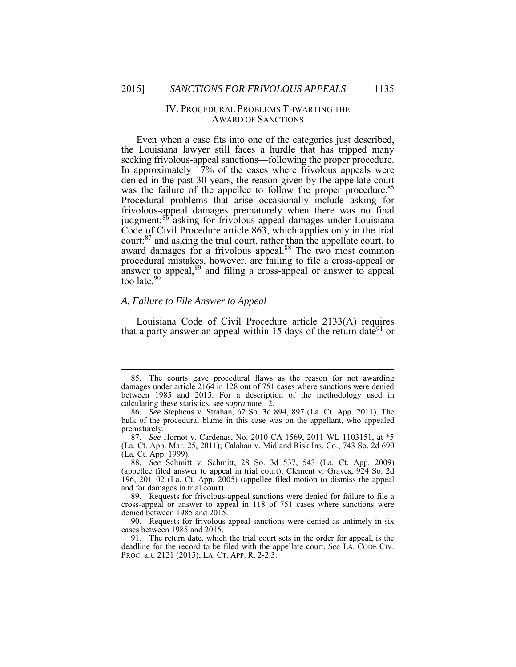# IV. PROCEDURAL PROBLEMS THWARTING THE AWARD OF SANCTIONS

 Even when a case fits into one of the categories just described, the Louisiana lawyer still faces a hurdle that has tripped many In approximately 17% of the cases where frivolous appeals were judgment;<sup>86</sup> asking for frivolous-appeal damages under Louisiana procedural mistakes, however, are failing to file a cross-appeal or seeking frivolous-appeal sanctions—following the proper procedure. denied in the past 30 years, the reason given by the appellate court was the failure of the appellee to follow the proper procedure.<sup>85</sup> Procedural problems that arise occasionally include asking for frivolous-appeal damages prematurely when there was no final Code of Civil Procedure article 863, which applies only in the trial court;87 and asking the trial court, rather than the appellate court, to award damages for a frivolous appeal.<sup>88</sup> The two most common answer to appeal, $89$  and filing a cross-appeal or answer to appeal too late.<sup>90</sup>

# *A. Failure to File Answer to Appeal*

 Louisiana Code of Civil Procedure article 2133(A) requires that a party answer an appeal within 15 days of the return date  $91$  or

 $\overline{a}$ 

 damages under article 2164 in 128 out of 751 cases where sanctions were denied 85. The courts gave procedural flaws as the reason for not awarding between 1985 and 2015. For a description of the methodology used in calculating these statistics, see *supra* note 12.

 86. *See* Stephens v. Strahan, 62 So. 3d 894, 897 (La. Ct. App. 2011). The bulk of the procedural blame in this case was on the appellant, who appealed prematurely.

 87. *See* Hornot v. Cardenas, No. 2010 CA 1569, 2011 WL 1103151, at \*5 (La. Ct. App. Mar. 25, 2011); Calahan v. Midland Risk Ins. Co., 743 So. 2d 690 (La. Ct. App. 1999).

 88. *See* Schmitt v. Schmitt, 28 So. 3d 537, 543 (La. Ct. App. 2009) 196, 201–02 (La. Ct. App. 2005) (appellee filed motion to dismiss the appeal (appellee filed answer to appeal in trial court); Clement v. Graves, 924 So. 2d and for damages in trial court).

 89. Requests for frivolous-appeal sanctions were denied for failure to file a cross-appeal or answer to appeal in 118 of 751 cases where sanctions were denied between 1985 and 2015.

 90. Requests for frivolous-appeal sanctions were denied as untimely in six cases between 1985 and 2015.

 deadline for the record to be filed with the appellate court. *See* LA. CODE CIV. PROC. art. 2121 (2015); LA. CT. APP. R. 2-2.3. 91. The return date, which the trial court sets in the order for appeal, is the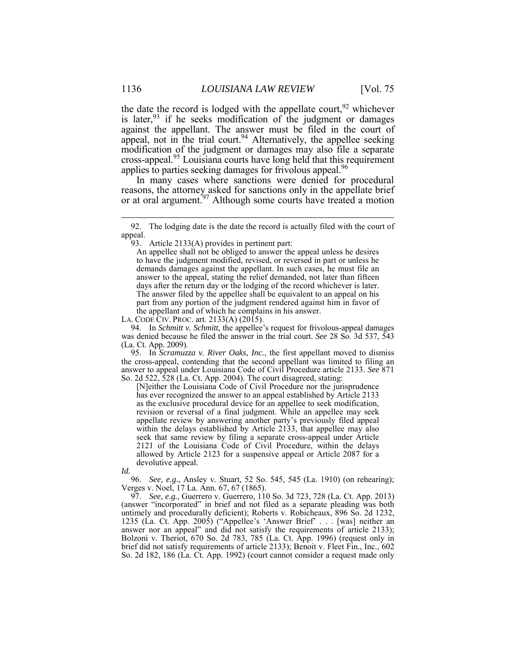the date the record is lodged with the appellate court,  $92$  whichever modification of the judgment or damages may also file a separate is later,  $93$  if he seeks modification of the judgment or damages against the appellant. The answer must be filed in the court of appeal, not in the trial court.<sup>94</sup> Alternatively, the appellee seeking cross-appeal.95 Louisiana courts have long held that this requirement applies to parties seeking damages for frivolous appeal.<sup>96</sup>

 In many cases where sanctions were denied for procedural reasons, the attorney asked for sanctions only in the appellate brief or at oral argument.<sup>97</sup> Although some courts have treated a motion

LA. CODE CIV. PROC. art. 2133(A) (2015).

 was denied because he filed the answer in the trial court. *See* 28 So. 3d 537, 543 94. In *Schmitt v. Schmitt*, the appellee's request for frivolous-appeal damages (La. Ct. App. 2009).

 the cross-appeal, contending that the second appellant was limited to filing an answer to appeal under Louisiana Code of Civil Procedure article 2133. *See* 871 95. In *Scramuzza v. River Oaks, Inc.*, the first appellant moved to dismiss So. 2d 522, 528 (La. Ct. App. 2004). The court disagreed, stating:

 [N]either the Louisiana Code of Civil Procedure nor the jurisprudence as the exclusive procedural device for an appellee to seek modification, revision or reversal of a final judgment. While an appellee may seek within the delays established by Article 2133, that appellee may also seek that same review by filing a separate cross-appeal under Article 2121 of the Louisiana Code of Civil Procedure, within the delays allowed by Article 2123 for a suspensive appeal or Article 2087 for a has ever recognized the answer to an appeal established by Article 2133 appellate review by answering another party's previously filed appeal devolutive appeal.

*Id.* 

 96. *See, e.g.*, Ansley v. Stuart, 52 So. 545, 545 (La. 1910) (on rehearing); Verges v. Noel, 17 La. Ann. 67, 67 (1865).

 97. *See, e.g.*, Guerrero v. Guerrero, 110 So. 3d 723, 728 (La. Ct. App. 2013) (answer "incorporated" in brief and not filed as a separate pleading was both untimely and procedurally deficient); Roberts v. Robicheaux, 896 So. 2d 1232, 1235 (La. Ct. App. 2005) ("Appellee's 'Answer Brief' . . . [was] neither an Bolzoni v. Theriot, 670 So. 2d 783, 785 (La. Ct. App. 1996) (request only in So. 2d 182, 186 (La. Ct. App. 1992) (court cannot consider a request made onlyanswer nor an appeal" and did not satisfy the requirements of article 2133); brief did not satisfy requirements of article 2133); Benoit v. Fleet Fin., Inc., 602

<sup>92.</sup> The lodging date is the date the record is actually filed with the court of appeal.

 93. Article 2133(A) provides in pertinent part:

 demands damages against the appellant. In such cases, he must file an answer to the appeal, stating the relief demanded, not later than fifteen days after the return day or the lodging of the record whichever is later. The answer filed by the appellee shall be equivalent to an appeal on his the appellant and of which he complains in his answer. An appellee shall not be obliged to answer the appeal unless he desires to have the judgment modified, revised, or reversed in part or unless he part from any portion of the judgment rendered against him in favor of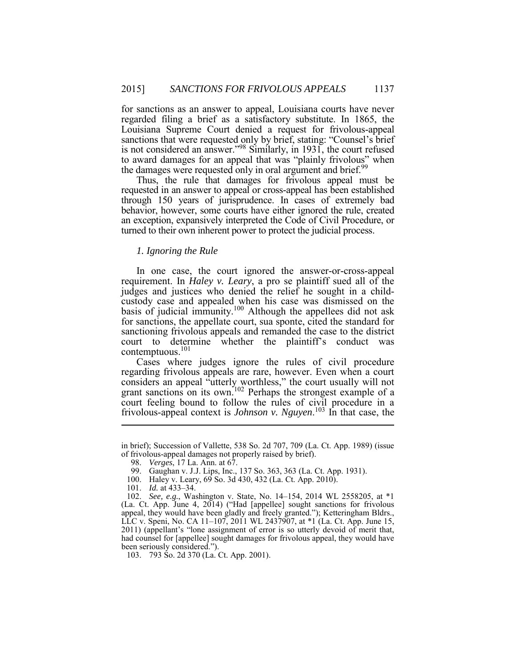regarded filing a brief as a satisfactory substitute. In 1865, the Louisiana Supreme Court denied a request for frivolous-appeal sanctions that were requested only by brief, stating: "Counsel's brief is not considered an answer."<sup>98</sup> Similarly, in 1931, the court refused to award damages for an appeal that was "plainly frivolous" when for sanctions as an answer to appeal, Louisiana courts have never the damages were requested only in oral argument and brief.<sup>99</sup>

 Thus, the rule that damages for frivolous appeal must be requested in an answer to appeal or cross-appeal has been established through 150 years of jurisprudence. In cases of extremely bad behavior, however, some courts have either ignored the rule, created an exception, expansively interpreted the Code of Civil Procedure, or turned to their own inherent power to protect the judicial process.

# *1. Ignoring the Rule*

 In one case, the court ignored the answer-or-cross-appeal requirement. In *Haley v. Leary*, a pro se plaintiff sued all of the judges and justices who denied the relief he sought in a childcontemptuous.<sup>101</sup> custody case and appealed when his case was dismissed on the basis of judicial immunity.<sup>100</sup> Although the appellees did not ask for sanctions, the appellate court, sua sponte, cited the standard for sanctioning frivolous appeals and remanded the case to the district court to determine whether the plaintiff's conduct was

 Cases where judges ignore the rules of civil procedure frivolous-appeal context is *Johnson v. Nguyen*. <sup>103</sup> In that case, the regarding frivolous appeals are rare, however. Even when a court considers an appeal "utterly worthless," the court usually will not grant sanctions on its own.<sup>102</sup> Perhaps the strongest example of a court feeling bound to follow the rules of civil procedure in a

 in brief); Succession of Vallette, 538 So. 2d 707, 709 (La. Ct. App. 1989) (issue of frivolous-appeal damages not properly raised by brief).

<sup>98.</sup> *Verges*, 17 La. Ann. at 67.

<sup>99.</sup> Gaughan v. J.J. Lips, Inc., 137 So. 363, 363 (La. Ct. App. 1931).

<sup>100.</sup> Haley v. Leary, 69 So. 3d 430, 432 (La. Ct. App. 2010).

 101. *Id.* at 433–34.

 (La. Ct. App. June 4, 2014) ("Had [appellee] sought sanctions for frivolous appeal, they would have been gladly and freely granted."); Ketteringham Bldrs., LLC v. Speni, No. CA 11–107, 2011 WL 2437907, at \*1 (La. Ct. App. June 15, had counsel for [appellee] sought damages for frivolous appeal, they would have 102. *See, e.g.*, Washington v. State, No. 14–154, 2014 WL 2558205, at \*1 2011) (appellant's "lone assignment of error is so utterly devoid of merit that, been seriously considered.").

<sup>103. 793</sup> So. 2d 370 (La. Ct. App. 2001).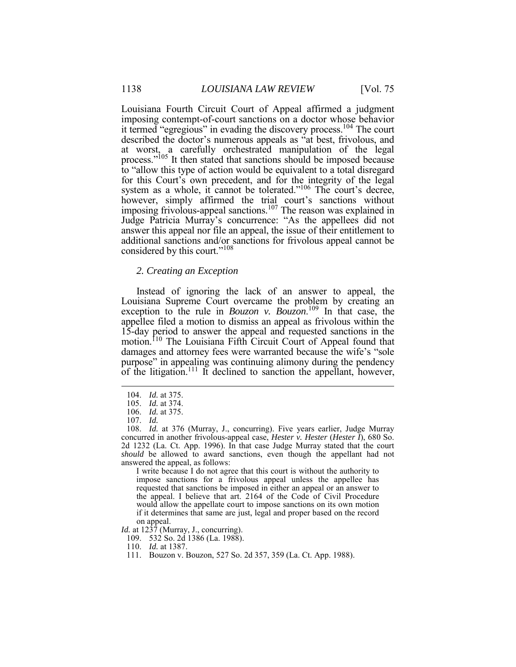Louisiana Fourth Circuit Court of Appeal affirmed a judgment it termed "egregious" in evading the discovery process.<sup>104</sup> The court described the doctor's numerous appeals as "at best, frivolous, and at worst, a carefully orchestrated manipulation of the legal process."<sup>105</sup> It then stated that sanctions should be imposed because system as a whole, it cannot be tolerated."<sup>106</sup> The court's decree, Judge Patricia Murray's concurrence: "As the appellees did not answer this appeal nor file an appeal, the issue of their entitlement to additional sanctions and/or sanctions for frivolous appeal cannot be imposing contempt-of-court sanctions on a doctor whose behavior to "allow this type of action would be equivalent to a total disregard for this Court's own precedent, and for the integrity of the legal however, simply affirmed the trial court's sanctions without imposing frivolous-appeal sanctions.<sup>107</sup> The reason was explained in considered by this court."<sup>108</sup>

#### *2. Creating an Exception*

 Instead of ignoring the lack of an answer to appeal, the Louisiana Supreme Court overcame the problem by creating an exception to the rule in *Bouzon v. Bouzon*.<sup>109</sup> In that case, the damages and attorney fees were warranted because the wife's "sole Ì appellee filed a motion to dismiss an appeal as frivolous within the 15-day period to answer the appeal and requested sanctions in the motion.<sup>110</sup> The Louisiana Fifth Circuit Court of Appeal found that purpose" in appealing was continuing alimony during the pendency of the litigation.<sup>111</sup> It declined to sanction the appellant, however,

1

 requested that sanctions be imposed in either an appeal or an answer to the appeal. I believe that art. 2164 of the Code of Civil Procedure would allow the appellate court to impose sanctions on its own motion if it determines that same are just, legal and proper based on the record I write because I do not agree that this court is without the authority to impose sanctions for a frivolous appeal unless the appellee has on appeal.

*Id.* at 1237 (Murray, J., concurring).

109. 532 So. 2d 1386 (La. 1988).

<sup>104.</sup> *Id.* at 375.

<sup>105.</sup> *Id.* at 374.

 106. *Id.* at 375.

 107. *Id.* 

 2d 1232 (La. Ct. App. 1996). In that case Judge Murray stated that the court answered the appeal, as follows: 108. *Id.* at 376 (Murray, J., concurring). Five years earlier, Judge Murray concurred in another frivolous-appeal case, *Hester v. Hester* (*Hester I*), 680 So. *should* be allowed to award sanctions, even though the appellant had not

<sup>110.</sup> *Id.* at 1387.

<sup>111.</sup> Bouzon v. Bouzon, 527 So. 2d 357, 359 (La. Ct. App. 1988).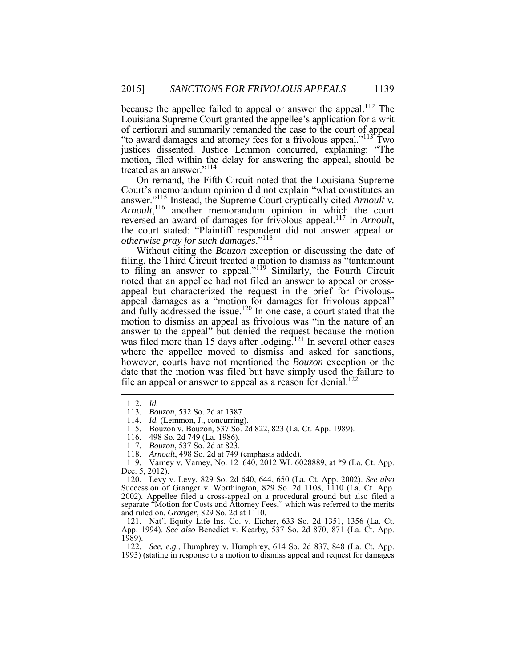because the appellee failed to appeal or answer the appeal.<sup>112</sup> The Louisiana Supreme Court granted the appellee's application for a writ of certiorari and summarily remanded the case to the court of appeal "to award damages and attorney fees for a frivolous appeal."<sup>113</sup> Two motion, filed within the delay for answering the appeal, should be justices dissented. Justice Lemmon concurred, explaining: "The treated as an answer."114

 On remand, the Fifth Circuit noted that the Louisiana Supreme answer."<sup>115</sup> Instead, the Supreme Court cryptically cited *Arnoult v.*  Court's memorandum opinion did not explain "what constitutes an *Arnoult*, <sup>116</sup> another memorandum opinion in which the court reversed an award of damages for frivolous appeal.117 In *Arnoult*, the court stated: "Plaintiff respondent did not answer appeal *or otherwise pray for such damages*."<sup>118</sup>

 Without citing the *Bouzon* exception or discussing the date of filing, the Third Circuit treated a motion to dismiss as "tantamount to filing an answer to appeal."<sup>119</sup> Similarly, the Fourth Circuit date that the motion was filed but have simply used the failure to noted that an appellee had not filed an answer to appeal or crossappeal but characterized the request in the brief for frivolous- appeal damages as a "motion for damages for frivolous appeal" and fully addressed the issue.<sup>120</sup> In one case, a court stated that the motion to dismiss an appeal as frivolous was "in the nature of an answer to the appeal" but denied the request because the motion was filed more than 15 days after lodging.<sup>121</sup> In several other cases where the appellee moved to dismiss and asked for sanctions, however, courts have not mentioned the *Bouzon* exception or the file an appeal or answer to appeal as a reason for denial.<sup>122</sup>

 $\overline{a}$ 

118. *Arnoult*, 498 So. 2d at 749 (emphasis added).

119. Varney v. Varney, No. 12–640, 2012 WL 6028889, at \*9 (La. Ct. App. Dec. 5, 2012).

Succession of Granger v. Worthington, 829 So. 2d 1108, 1110 (La. Ct. App. 2002). Appellee filed a cross-appeal on a procedural ground but also filed a and ruled on. *Granger*, 829 So. 2d at 1110. 120. Levy v. Levy, 829 So. 2d 640, 644, 650 (La. Ct. App. 2002). *See also*  separate "Motion for Costs and Attorney Fees," which was referred to the merits

 App. 1994). *See also* Benedict v. Kearby, 537 So. 2d 870, 871 (La. Ct. App. 121. Nat'l Equity Life Ins. Co. v. Eicher, 633 So. 2d 1351, 1356 (La. Ct. 1989).

 122. *See, e.g.*, Humphrey v. Humphrey, 614 So. 2d 837, 848 (La. Ct. App. 1993) (stating in response to a motion to dismiss appeal and request for damages

<sup>112</sup>*. Id.* 

 113. *Bouzon*, 532 So. 2d at 1387.

<sup>114.</sup> *Id.* (Lemmon, J., concurring).

<sup>115.</sup> Bouzon v. Bouzon, 537 So. 2d 822, 823 (La. Ct. App. 1989).

<sup>116. 498</sup> So. 2d 749 (La. 1986).

 117. *Bouzon*, 537 So. 2d at 823.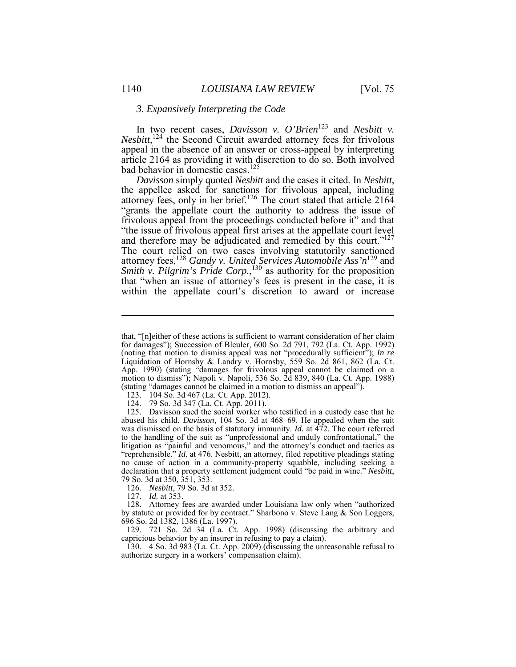# *3. Expansively Interpreting the Code*

 In two recent cases, *Davisson v. O'Brien*<sup>123</sup> and *Nesbitt v. Nesbitt*, <sup>124</sup> the Second Circuit awarded attorney fees for frivolous appeal in the absence of an answer or cross-appeal by interpreting bad behavior in domestic cases.<sup>125</sup> article 2164 as providing it with discretion to do so. Both involved

Davisson simply quoted Nesbitt and the cases it cited. In Nesbitt, "grants the appellate court the authority to address the issue of The court relied on two cases involving statutorily sanctioned that "when an issue of attorney's fees is present in the case, it is within the appellate court's discretion to award or increase *Davisson* simply quoted *Nesbitt* and the cases it cited. In *Nesbitt*, the appellee asked for sanctions for frivolous appeal, including attorney fees, only in her brief.<sup>126</sup> The court stated that article 2164 frivolous appeal from the proceedings conducted before it" and that "the issue of frivolous appeal first arises at the appellate court level and therefore may be adjudicated and remedied by this court."<sup>127</sup> attorney fees,<sup>128</sup> *Gandy v. United Services Automobile Ass'n*<sup>129</sup> and *Smith v. Pilgrim's Pride Corp.*,<sup>130</sup> as authority for the proposition

126. *Nesbitt*, 79 So. 3d at 352.

127. *Id.* at 353.

 that, "[n]either of these actions is sufficient to warrant consideration of her claim (noting that motion to dismiss appeal was not "procedurally sufficient"); *In re*  Liquidation of Hornsby & Landry v. Hornsby, 559 So. 2d 861, 862 (La. Ct. App. 1990) (stating "damages for frivolous appeal cannot be claimed on a (stating "damages cannot be claimed in a motion to dismiss an appeal"). for damages"); Succession of Bleuler, 600 So. 2d 791, 792 (La. Ct. App. 1992) motion to dismiss"); Napoli v. Napoli, 536 So. 2d 839, 840 (La. Ct. App. 1988)

<sup>123. 104</sup> So. 3d 467 (La. Ct. App. 2012).

<sup>124. 79</sup> So. 3d 347 (La. Ct. App. 2011).

 125. Davisson sued the social worker who testified in a custody case that he was dismissed on the basis of statutory immunity. *Id.* at 472. The court referred to the handling of the suit as "unprofessional and unduly confrontational," the "reprehensible." *Id.* at 476. Nesbitt, an attorney, filed repetitive pleadings stating no cause of action in a community-property squabble, including seeking a declaration that a property settlement judgment could "be paid in wine." *Nesbitt*, abused his child. *Davisson*, 104 So. 3d at 468–69. He appealed when the suit litigation as "painful and venomous," and the attorney's conduct and tactics as 79 So. 3d at 350, 351, 353.

 128. Attorney fees are awarded under Louisiana law only when "authorized by statute or provided for by contract." Sharbono v. Steve Lang & Son Loggers, 696 So. 2d 1382, 1386 (La. 1997).

 129. 721 So. 2d 34 (La. Ct. App. 1998) (discussing the arbitrary and capricious behavior by an insurer in refusing to pay a claim).

<sup>130. 4</sup> So. 3d 983 (La. Ct. App. 2009) (discussing the unreasonable refusal to authorize surgery in a workers' compensation claim).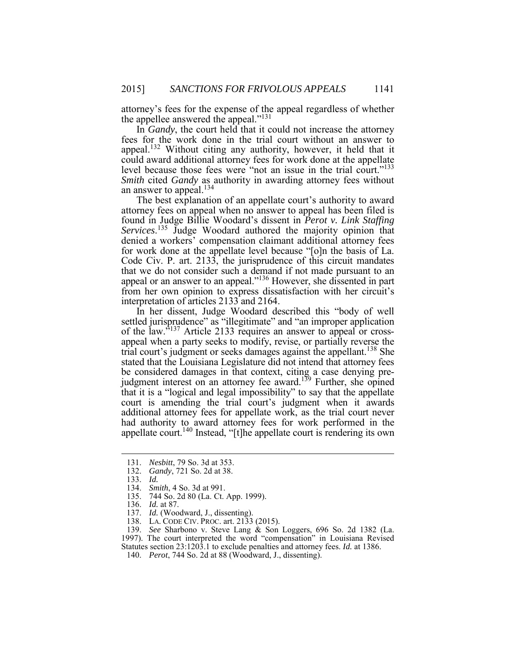attorney's fees for the expense of the appeal regardless of whether the appellee answered the appeal."<sup>131</sup>

appeal.<sup>132</sup> Without citing any authority, however, it held that it could award additional attorney fees for work done at the appellate level because those fees were "not an issue in the trial court."<sup>133</sup> *Smith* cited *Gandy* as authority in awarding attorney fees without In *Gandy*, the court held that it could not increase the attorney fees for the work done in the trial court without an answer to an answer to appeal.<sup>134</sup>

 attorney fees on appeal when no answer to appeal has been filed is for work done at the appellate level because "[o]n the basis of La. Code Civ. P. art. 2133, the jurisprudence of this circuit mandates appeal or an answer to an appeal."<sup>136</sup> However, she dissented in part The best explanation of an appellate court's authority to award found in Judge Billie Woodard's dissent in *Perot v. Link Staffing*  Services.<sup>135</sup> Judge Woodard authored the majority opinion that denied a workers' compensation claimant additional attorney fees that we do not consider such a demand if not made pursuant to an from her own opinion to express dissatisfaction with her circuit's interpretation of articles 2133 and 2164.

 In her dissent, Judge Woodard described this "body of well settled jurisprudence" as "illegitimate" and "an improper application of the law."<sup>137</sup> Article 2133 requires an answer to appeal or cross- appeal when a party seeks to modify, revise, or partially reverse the stated that the Louisiana Legislature did not intend that attorney fees be considered damages in that context, citing a case denying prebe considered damages in that context, citing a case denying pre-<br>judgment interest on an attorney fee award.<sup>139</sup> Further, she opined additional attorney fees for appellate work, as the trial court never trial court's judgment or seeks damages against the appellant.<sup>138</sup> She that it is a "logical and legal impossibility" to say that the appellate court is amending the trial court's judgment when it awards had authority to award attorney fees for work performed in the appellate court.<sup>140</sup> Instead, "[t]he appellate court is rendering its own

132. *Gandy*, 721 So. 2d at 38.

 $\overline{a}$ 

- 137. *Id.* (Woodward, J., dissenting).
- 138. LA. CODE CIV. PROC. art. 2133 (2015).

 139. *See* Sharbono v. Steve Lang & Son Loggers, 696 So. 2d 1382 (La. 1997). The court interpreted the word "compensation" in Louisiana Revised

Statutes section 23:1203.1 to exclude penalties and attorney fees. *Id.* at 1386.

140. *Perot*, 744 So. 2d at 88 (Woodward, J., dissenting).

<sup>131.</sup> *Nesbitt*, 79 So. 3d at 353.

<sup>133.</sup> *Id.* 

<sup>134.</sup> *Smith*, 4 So. 3d at 991.

<sup>135. 744</sup> So. 2d 80 (La. Ct. App. 1999).

<sup>136.</sup> *Id.* at 87.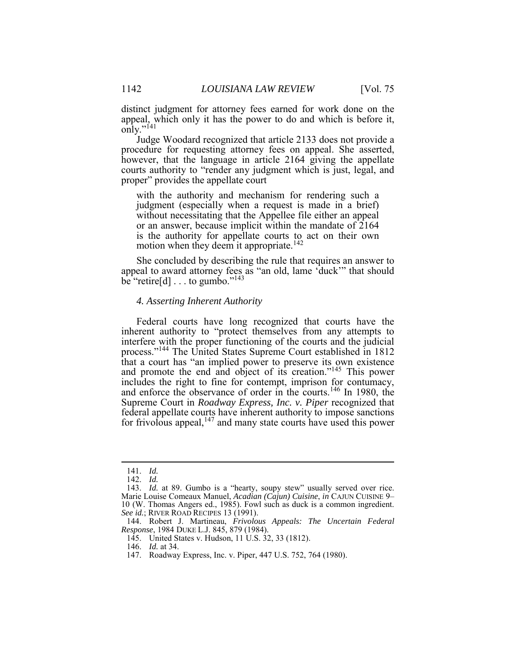distinct judgment for attorney fees earned for work done on the appeal, which only it has the power to do and which is before it, only."<sup>141</sup>

 procedure for requesting attorney fees on appeal. She asserted, Judge Woodard recognized that article 2133 does not provide a however, that the language in article 2164 giving the appellate courts authority to "render any judgment which is just, legal, and proper" provides the appellate court

 with the authority and mechanism for rendering such a judgment (especially when a request is made in a brief) without necessitating that the Appellee file either an appeal or an answer, because implicit within the mandate of 2164 is the authority for appellate courts to act on their own motion when they deem it appropriate.<sup>142</sup>

 She concluded by describing the rule that requires an answer to appeal to award attorney fees as "an old, lame 'duck'" that should  $\overrightarrow{bc}$  "retire[d]  $\dots$  to gumbo."<sup>143</sup>

# *4. Asserting Inherent Authority*

 Federal courts have long recognized that courts have the inherent authority to "protect themselves from any attempts to process."<sup>144</sup> The United States Supreme Court established in 1812 for frivolous appeal,  $147$  and many state courts have used this power interfere with the proper functioning of the courts and the judicial that a court has "an implied power to preserve its own existence and promote the end and object of its creation."<sup>145</sup> This power includes the right to fine for contempt, imprison for contumacy, and enforce the observance of order in the courts.<sup>146</sup> In 1980, the Supreme Court in *Roadway Express, Inc. v. Piper* recognized that federal appellate courts have inherent authority to impose sanctions

<sup>141.</sup> *Id.* 

<sup>142.</sup> *Id.* 

<sup>143.</sup> *Id.* at 89. Gumbo is a "hearty, soupy stew" usually served over rice. Marie Louise Comeaux Manuel, *Acadian (Cajun) Cuisine*, *in* CAJUN CUISINE 9– 10 (W. Thomas Angers ed., 1985). Fowl such as duck is a common ingredient. *See id.*; RIVER ROAD RECIPES 13 (1991).

<sup>144.</sup> Robert J. Martineau, *Frivolous Appeals: The Uncertain Federal Response*, 1984 DUKE L.J. 845, 879 (1984).

<sup>145.</sup> United States v. Hudson, 11 U.S. 32, 33 (1812).

<sup>146.</sup> *Id.* at 34.

<sup>147.</sup> Roadway Express, Inc. v. Piper, 447 U.S. 752, 764 (1980).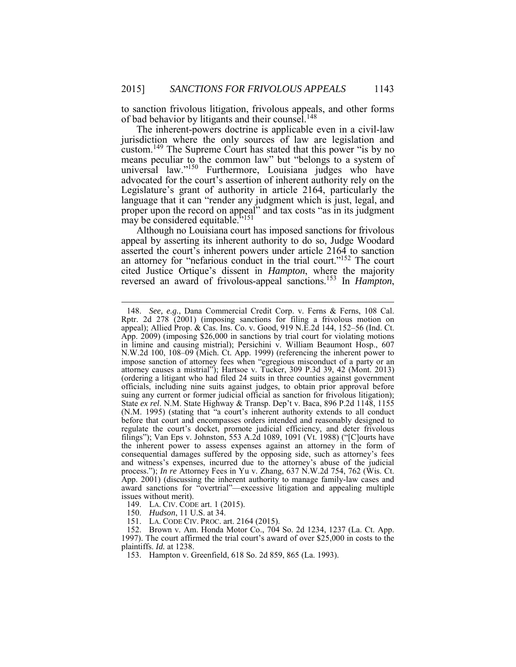to sanction frivolous litigation, frivolous appeals, and other forms of bad behavior by litigants and their counsel.<sup>148</sup>

 The inherent-powers doctrine is applicable even in a civil-law jurisdiction where the only sources of law are legislation and custom.<sup>149</sup> The Supreme Court has stated that this power "is by no means peculiar to the common law" but "belongs to a system of advocated for the court's assertion of inherent authority rely on the Legislature's grant of authority in article 2164, particularly the language that it can "render any judgment which is just, legal, and universal law."<sup>150</sup> Furthermore, Louisiana judges who have proper upon the record on appeal" and tax costs "as in its judgment may be considered equitable."<sup>151</sup>

 appeal by asserting its inherent authority to do so, Judge Woodard an attorney for "nefarious conduct in the trial court."<sup>152</sup> The court cited Justice Ortique's dissent in *Hampton*, where the majority Although no Louisiana court has imposed sanctions for frivolous asserted the court's inherent powers under article 2164 to sanction reversed an award of frivolous-appeal sanctions.153 In *Hampton*,

 $\overline{a}$ 

 appeal); Allied Prop. & Cas. Ins. Co. v. Good, 919 N.E.2d 144, 152–56 (Ind. Ct. App. 2009) (imposing \$26,000 in sanctions by trial court for violating motions in limine and causing mistrial); Persichini v. William Beaumont Hosp., 607 N.W.2d 100, 108–09 (Mich. Ct. App. 1999) (referencing the inherent power to impose sanction of attorney fees when "egregious misconduct of a party or an attorney causes a mistrial"); Hartsoe v. Tucker, 309 P.3d 39, 42 (Mont. 2013) officials, including nine suits against judges, to obtain prior approval before State *ex rel*. N.M. State Highway & Transp. Dep't v. Baca, 896 P.2d 1148, 1155 (N.M. 1995) (stating that "a court's inherent authority extends to all conduct filings"); Van Eps v. Johnston, 553 A.2d 1089, 1091 (Vt. 1988) ("[C]ourts have and witness's expenses, incurred due to the attorney's abuse of the judicial App. 2001) (discussing the inherent authority to manage family-law cases and award sanctions for "overtrial"—excessive litigation and appealing multiple 148. *See, e.g.*, Dana Commercial Credit Corp. v. Ferns & Ferns, 108 Cal. Rptr. 2d 278 (2001) (imposing sanctions for filing a frivolous motion on (ordering a litigant who had filed 24 suits in three counties against government suing any current or former judicial official as sanction for frivolous litigation); before that court and encompasses orders intended and reasonably designed to regulate the court's docket, promote judicial efficiency, and deter frivolous the inherent power to assess expenses against an attorney in the form of consequential damages suffered by the opposing side, such as attorney's fees process."); *In re* Attorney Fees in Yu v. Zhang, 637 N.W.2d 754, 762 (Wis. Ct. issues without merit).

 149. LA. CIV. CODE art. 1 (2015).

 150. *Hudson*, 11 U.S. at 34.

<sup>151.</sup> LA. CODE CIV. PROC. art. 2164 (2015).

 1997). The court affirmed the trial court's award of over \$25,000 in costs to the plaintiffs. *Id.* at 1238. 152. Brown v. Am. Honda Motor Co., 704 So. 2d 1234, 1237 (La. Ct. App.

<sup>153.</sup> Hampton v. Greenfield, 618 So. 2d 859, 865 (La. 1993).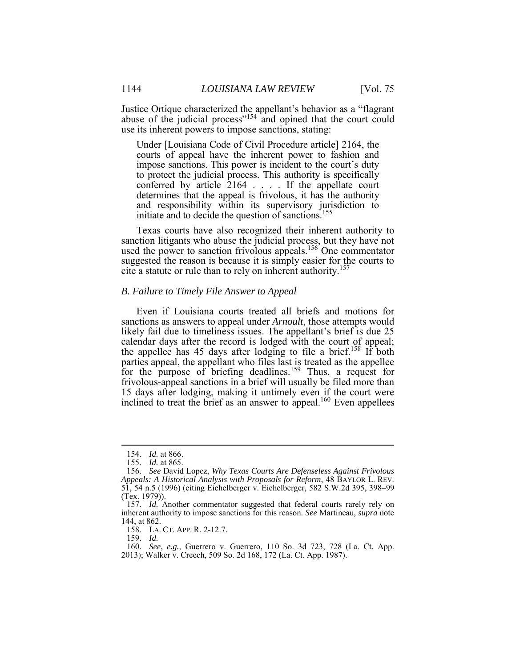use its inherent powers to impose sanctions, stating: Justice Ortique characterized the appellant's behavior as a "flagrant abuse of the judicial process"<sup>154</sup> and opined that the court could

 Under [Louisiana Code of Civil Procedure article] 2164, the courts of appeal have the inherent power to fashion and conferred by article 2164 . . . . If the appellate court determines that the appeal is frivolous, it has the authority and responsibility within its supervisory jurisdiction to impose sanctions. This power is incident to the court's duty to protect the judicial process. This authority is specifically initiate and to decide the question of sanctions.<sup>155</sup>

 Texas courts have also recognized their inherent authority to sanction litigants who abuse the judicial process, but they have not suggested the reason is because it is simply easier for the courts to used the power to sanction frivolous appeals.<sup>156</sup> One commentator cite a statute or rule than to rely on inherent authority.<sup>157</sup>

#### *B. Failure to Timely File Answer to Appeal*

 likely fail due to timeliness issues. The appellant's brief is due 25 calendar days after the record is lodged with the court of appeal; the appellee has 45 days after lodging to file a brief.<sup>158</sup> If both parties appeal, the appellant who files last is treated as the appellee frivolous-appeal sanctions in a brief will usually be filed more than Even if Louisiana courts treated all briefs and motions for sanctions as answers to appeal under *Arnoult*, those attempts would for the purpose of briefing deadlines.<sup>159</sup> Thus, a request for 15 days after lodging, making it untimely even if the court were inclined to treat the brief as an answer to appeal.<sup>160</sup> Even appellees

<u>.</u>

158. LA. CT. APP. R. 2-12.7.

159. *Id.* 

<sup>154.</sup> *Id.* at 866.

<sup>155.</sup> *Id.* at 865.

<sup>156.</sup> *See* David Lopez, *Why Texas Courts Are Defenseless Against Frivolous Appeals: A Historical Analysis with Proposals for Reform*, 48 BAYLOR L. REV. 51, 54 n.5 (1996) (citing Eichelberger v. Eichelberger, 582 S.W.2d 395, 398–99 (Tex. 1979)).

 157. *Id.* Another commentator suggested that federal courts rarely rely on inherent authority to impose sanctions for this reason. *See* Martineau, *supra* note 144, at 862.

 160. *See, e.g.*, Guerrero v. Guerrero, 110 So. 3d 723, 728 (La. Ct. App. 2013); Walker v. Creech, 509 So. 2d 168, 172 (La. Ct. App. 1987).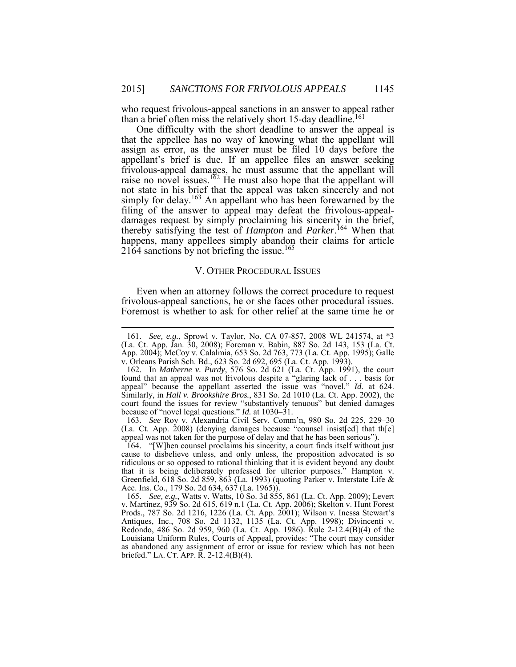than a brief often miss the relatively short 15-day deadline.<sup>161</sup> who request frivolous-appeal sanctions in an answer to appeal rather

 One difficulty with the short deadline to answer the appeal is that the appellee has no way of knowing what the appellant will assign as error, as the answer must be filed 10 days before the appellant's brief is due. If an appellee files an answer seeking frivolous-appeal damages, he must assume that the appellant will not state in his brief that the appeal was taken sincerely and not simply for delay.<sup>163</sup> An appellant who has been forewarned by the filing of the answer to appeal may defeat the frivolous-appeal- damages request by simply proclaiming his sincerity in the brief, thereby satisfying the test of *Hampton* and *Parker*. <sup>164</sup> When that happens, many appellees simply abandon their claims for article raise no novel issues.<sup>162</sup> He must also hope that the appellant will 2164 sanctions by not briefing the issue.<sup>165</sup>

### V. OTHER PROCEDURAL ISSUES

 Foremost is whether to ask for other relief at the same time he or Even when an attorney follows the correct procedure to request frivolous-appeal sanctions, he or she faces other procedural issues.

<u>.</u>

 (La. Ct. App. 2008) (denying damages because "counsel insist[ed] that th[e] 163. *See* Roy v. Alexandria Civil Serv. Comm'n, 980 So. 2d 225, 229–30 appeal was not taken for the purpose of delay and that he has been serious").

 164. "[W]hen counsel proclaims his sincerity, a court finds itself without just cause to disbelieve unless, and only unless, the proposition advocated is so ridiculous or so opposed to rational thinking that it is evident beyond any doubt that it is being deliberately professed for ulterior purposes." Hampton v. Greenfield, 618 So. 2d 859, 863 (La. 1993) (quoting Parker v. Interstate Life & Acc. Ins. Co., 179 So. 2d 634, 637 (La. 1965)).

 165. *See, e.g.*, Watts v. Watts, 10 So. 3d 855, 861 (La. Ct. App. 2009); Levert Prods., 787 So. 2d 1216, 1226 (La. Ct. App. 2001); Wilson v. Inessa Stewart's Louisiana Uniform Rules, Courts of Appeal, provides: "The court may consider briefed." LA. CT. APP. R. 2-12.4(B)(4).v. Martinez, 939 So. 2d 615, 619 n.1 (La. Ct. App. 2006); Skelton v. Hunt Forest Antiques, Inc., 708 So. 2d 1132, 1135 (La. Ct. App. 1998); Divincenti v. Redondo, 486 So. 2d 959, 960 (La. Ct. App. 1986). Rule 2-12.4(B)(4) of the as abandoned any assignment of error or issue for review which has not been

 App. 2004); McCoy v. Calalmia, 653 So. 2d 763, 773 (La. Ct. App. 1995); Galle 161. *See, e.g.*, Sprowl v. Taylor, No. CA 07-857, 2008 WL 241574, at \*3 (La. Ct. App. Jan. 30, 2008); Foreman v. Babin, 887 So. 2d 143, 153 (La. Ct. v. Orleans Parish Sch. Bd., 623 So. 2d 692, 695 (La. Ct. App. 1993).

 Similarly, in *Hall v. Brookshire Bros.*, 831 So. 2d 1010 (La. Ct. App. 2002), the 162. In *Matherne v. Purdy*, 576 So. 2d 621 (La. Ct. App. 1991), the court found that an appeal was not frivolous despite a "glaring lack of . . . basis for appeal" because the appellant asserted the issue was "novel." *Id.* at 624. court found the issues for review "substantively tenuous" but denied damages because of "novel legal questions." *Id.* at 1030–31.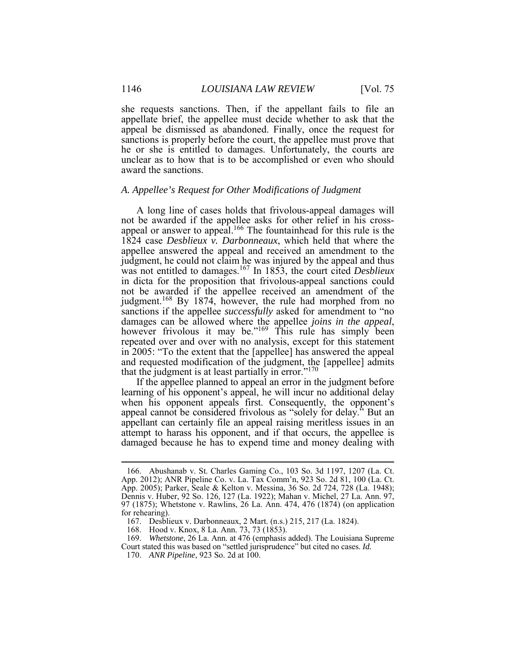appellate brief, the appellee must decide whether to ask that the he or she is entitled to damages. Unfortunately, the courts are unclear as to how that is to be accomplished or even who should she requests sanctions. Then, if the appellant fails to file an appeal be dismissed as abandoned. Finally, once the request for sanctions is properly before the court, the appellee must prove that award the sanctions.

## *A. Appellee's Request for Other Modifications of Judgment*

 A long line of cases holds that frivolous-appeal damages will appeal or answer to appeal.<sup>166</sup> The fountainhead for this rule is the judgment.<sup>168</sup> By 1874, however, the rule had morphed from no sanctions if the appellee *successfully* asked for amendment to "no repeated over and over with no analysis, except for this statement that the judgment is at least partially in error."<sup>170</sup> not be awarded if the appellee asks for other relief in his cross-1824 case *Desblieux v. Darbonneaux*, which held that where the appellee answered the appeal and received an amendment to the judgment, he could not claim he was injured by the appeal and thus was not entitled to damages.<sup>167</sup> In 1853, the court cited *Desblieux* in dicta for the proposition that frivolous-appeal sanctions could not be awarded if the appellee received an amendment of the damages can be allowed where the appellee *joins in the appeal*, however frivolous it may be."169 This rule has simply been in 2005: "To the extent that the [appellee] has answered the appeal and requested modification of the judgment, the [appellee] admits

 If the appellee planned to appeal an error in the judgment before appellant can certainly file an appeal raising meritless issues in an learning of his opponent's appeal, he will incur no additional delay when his opponent appeals first. Consequently, the opponent's appeal cannot be considered frivolous as "solely for delay." But an attempt to harass his opponent, and if that occurs, the appellee is damaged because he has to expend time and money dealing with

 App. 2012); ANR Pipeline Co. v. La. Tax Comm'n, 923 So. 2d 81, 100 (La. Ct. App. 2005); Parker, Seale & Kelton v. Messina, 36 So. 2d 724, 728 (La. 1948); Dennis v. Huber, 92 So. 126, 127 (La. 1922); Mahan v. Michel, 27 La. Ann. 97, 166. Abushanab v. St. Charles Gaming Co., 103 So. 3d 1197, 1207 (La. Ct. 97 (1875); Whetstone v. Rawlins, 26 La. Ann. 474, 476 (1874) (on application for rehearing).

 167. Desblieux v. Darbonneaux, 2 Mart. (n.s.) 215, 217 (La. 1824).

<sup>168.</sup> Hood v. Knox, 8 La. Ann. 73, 73 (1853).

 169. *Whetstone*, 26 La. Ann. at 476 (emphasis added). The Louisiana Supreme Court stated this was based on "settled jurisprudence" but cited no cases. *Id.* 

<sup>170.</sup> *ANR Pipeline*, 923 So. 2d at 100.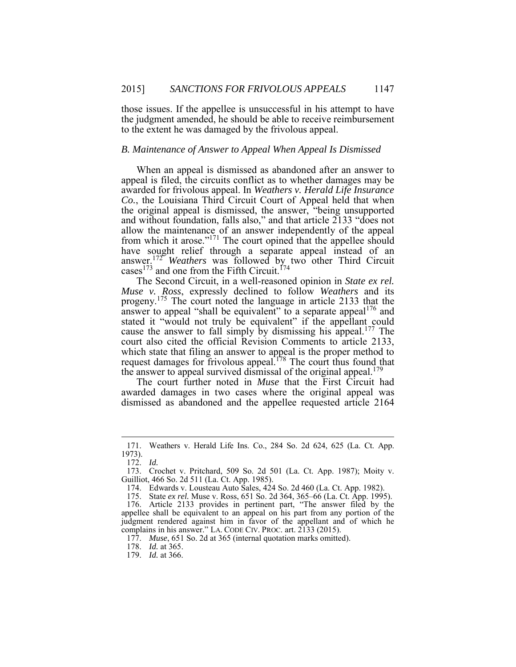those issues. If the appellee is unsuccessful in his attempt to have the judgment amended, he should be able to receive reimbursement to the extent he was damaged by the frivolous appeal.

# *B. Maintenance of Answer to Appeal When Appeal Is Dismissed*

 appeal is filed, the circuits conflict as to whether damages may be When an appeal is dismissed as abandoned after an answer to awarded for frivolous appeal. In *Weathers v. Herald Life Insurance Co.*, the Louisiana Third Circuit Court of Appeal held that when the original appeal is dismissed, the answer, "being unsupported and without foundation, falls also," and that article 2133 "does not allow the maintenance of an answer independently of the appeal from which it arose."<sup>171</sup> The court opined that the appellee should have sought relief through a separate appeal instead of an answer.<sup>172</sup> *Weathers* was followed by two other Third Circuit cases<sup>173</sup> and one from the Fifth Circuit.<sup>174</sup>

progeny.<sup>175</sup> The court noted the language in article 2133 that the answer to appeal "shall be equivalent" to a separate appeal $176$  and stated it "would not truly be equivalent" if the appellant could cause the answer to fall simply by dismissing his appeal.<sup>177</sup> The court also cited the official Revision Comments to article 2133, which state that filing an answer to appeal is the proper method to the answer to appeal survived dismissal of the original appeal.<sup>179</sup> The Second Circuit, in a well-reasoned opinion in *State ex rel. Muse v. Ross*, expressly declined to follow *Weathers* and its request damages for frivolous appeal.<sup>178</sup> The court thus found that

 The court further noted in *Muse* that the First Circuit had awarded damages in two cases where the original appeal was dismissed as abandoned and the appellee requested article 2164

<sup>171.</sup> Weathers v. Herald Life Ins. Co., 284 So. 2d 624, 625 (La. Ct. App. 1973).

<sup>172.</sup> *Id.* 

<sup>173.</sup> Crochet v. Pritchard, 509 So. 2d 501 (La. Ct. App. 1987); Moity v. Guilliot, 466 So. 2d 511 (La. Ct. App. 1985).

<sup>174.</sup> Edwards v. Lousteau Auto Sales, 424 So. 2d 460 (La. Ct. App. 1982).

<sup>175.</sup> State *ex rel.* Muse v. Ross, 651 So. 2d 364, 365–66 (La. Ct. App. 1995).

 176. Article 2133 provides in pertinent part, "The answer filed by the appellee shall be equivalent to an appeal on his part from any portion of the judgment rendered against him in favor of the appellant and of which he complains in his answer." LA. CODE CIV. PROC. art. 2133 (2015).

 177. *Muse*, 651 So. 2d at 365 (internal quotation marks omitted).

 178. *Id.* at 365.

<sup>179.</sup> *Id.* at 366.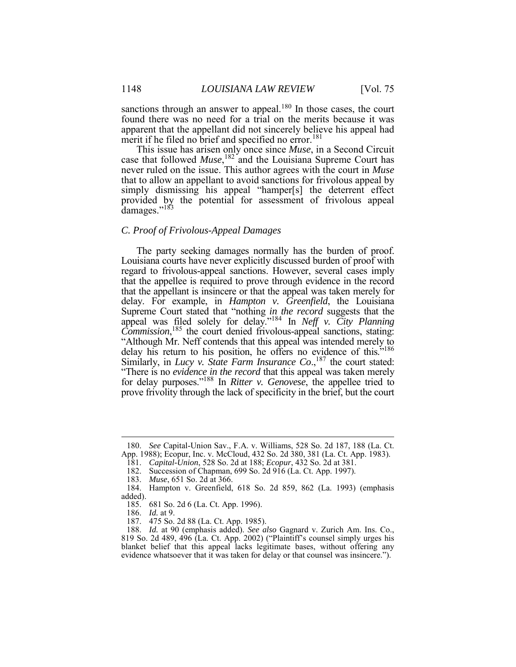found there was no need for a trial on the merits because it was merit if he filed no brief and specified no error.<sup>181</sup> sanctions through an answer to appeal.<sup>180</sup> In those cases, the court apparent that the appellant did not sincerely believe his appeal had

This issue has arisen only once since *Muse*, in a Second Circuit case that followed *Muse*,<sup>182</sup> and the Louisiana Supreme Court has never ruled on the issue. This author agrees with the court in *Muse*  that to allow an appellant to avoid sanctions for frivolous appeal by simply dismissing his appeal "hamper[s] the deterrent effect provided by the potential for assessment of frivolous appeal damages."<sup>183</sup>

### *C. Proof of Frivolous-Appeal Damages*

 The party seeking damages normally has the burden of proof. regard to frivolous-appeal sanctions. However, several cases imply that the appellee is required to prove through evidence in the record that the appellant is insincere or that the appeal was taken merely for delay. For example, in *Hampton v. Greenfield*, the Louisiana Supreme Court stated that "nothing *in the record* suggests that the delay his return to his position, he offers no evidence of this.<sup>5186</sup> "There is no *evidence in the record* that this appeal was taken merely for delay purposes."188 In *Ritter v. Genovese*, the appellee tried to Louisiana courts have never explicitly discussed burden of proof with appeal was filed solely for delay."184 In *Neff v. City Planning Commission*, <sup>185</sup> the court denied frivolous-appeal sanctions, stating: "Although Mr. Neff contends that this appeal was intended merely to Similarly, in *Lucy v. State Farm Insurance Co.*,<sup>187</sup> the court stated: prove frivolity through the lack of specificity in the brief, but the court

 App. 1988); Ecopur, Inc. v. McCloud, 432 So. 2d 380, 381 (La. Ct. App. 1983). 180. *See* Capital-Union Sav., F.A. v. Williams, 528 So. 2d 187, 188 (La. Ct.

<sup>181.</sup> *Capital-Union*, 528 So. 2d at 188; *Ecopur*, 432 So. 2d at 381.

<sup>182.</sup> Succession of Chapman, 699 So. 2d 916 (La. Ct. App. 1997). 183. *Muse*, 651 So. 2d at 366.

 184. Hampton v. Greenfield, 618 So. 2d 859, 862 (La. 1993) (emphasis added).

<sup>185. 681</sup> So. 2d 6 (La. Ct. App. 1996).

 186. *Id.* at 9.

<sup>187. 475</sup> So. 2d 88 (La. Ct. App. 1985).

 188. *Id.* at 90 (emphasis added). *See also* Gagnard v. Zurich Am. Ins. Co., 819 So. 2d 489, 496 (La. Ct. App. 2002) ("Plaintiff's counsel simply urges his blanket belief that this appeal lacks legitimate bases, without offering any evidence whatsoever that it was taken for delay or that counsel was insincere.").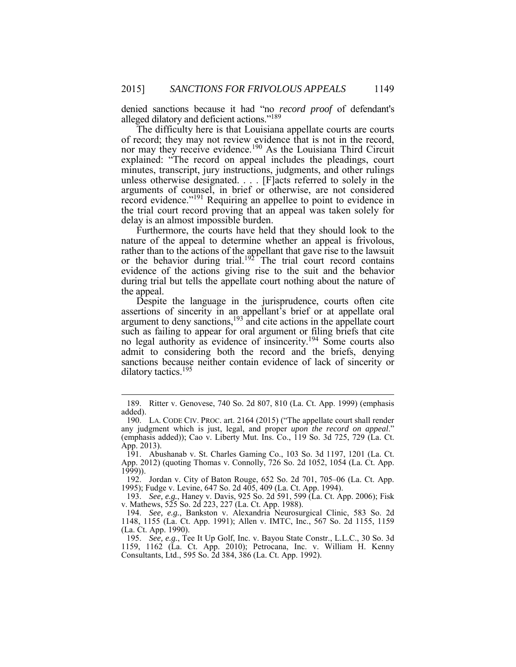alleged dilatory and deficient actions."<sup>189</sup> denied sanctions because it had "no *record proof* of defendant's

 The difficulty here is that Louisiana appellate courts are courts unless otherwise designated. . . . [F]acts referred to solely in the record evidence."<sup>191</sup> Requiring an appellee to point to evidence in the trial court record proving that an appeal was taken solely for of record; they may not review evidence that is not in the record, nor may they receive evidence.<sup>190</sup> As the Louisiana Third Circuit explained: "The record on appeal includes the pleadings, court minutes, transcript, jury instructions, judgments, and other rulings arguments of counsel, in brief or otherwise, are not considered delay is an almost impossible burden.

 Furthermore, the courts have held that they should look to the rather than to the actions of the appellant that gave rise to the lawsuit evidence of the actions giving rise to the suit and the behavior during trial but tells the appellate court nothing about the nature of nature of the appeal to determine whether an appeal is frivolous, or the behavior during trial.<sup>192</sup> The trial court record contains the appeal.

 Despite the language in the jurisprudence, courts often cite assertions of sincerity in an appellant's brief or at appellate oral argument to deny sanctions, $193 \text{ }\text{ind}$  cite actions in the appellate court such as failing to appear for oral argument or filing briefs that cite no legal authority as evidence of insincerity.<sup>194</sup> Some courts also admit to considering both the record and the briefs, denying sanctions because neither contain evidence of lack of sincerity or dilatory tactics.195

<sup>189.</sup> Ritter v. Genovese, 740 So. 2d 807, 810 (La. Ct. App. 1999) (emphasis added).

 190. LA. CODE CIV. PROC. art. 2164 (2015) ("The appellate court shall render (emphasis added)); Cao v. Liberty Mut. Ins. Co., 119 So. 3d 725, 729 (La. Ct. any judgment which is just, legal, and proper *upon the record on appeal*." App. 2013).

 App. 2012) (quoting Thomas v. Connolly, 726 So. 2d 1052, 1054 (La. Ct. App. 191. Abushanab v. St. Charles Gaming Co., 103 So. 3d 1197, 1201 (La. Ct. 1999)).

 192. Jordan v. City of Baton Rouge, 652 So. 2d 701, 705–06 (La. Ct. App. 1995); Fudge v. Levine, 647 So. 2d 405, 409 (La. Ct. App. 1994). 193. *See, e.g.*, Haney v. Davis, 925 So. 2d 591, <sup>599</sup> (La. Ct. App. 2006); Fisk

v. Mathews, 525 So. 2d 223, 227 (La. Ct. App. 1988).

 194. *See, e.g.*, Bankston v. Alexandria Neurosurgical Clinic, 583 So. 2d 1148, 1155 (La. Ct. App. 1991); Allen v. IMTC, Inc., 567 So. 2d 1155, 1159 (La. Ct. App. 1990).

 195. *See, e.g.*, Tee It Up Golf, Inc. v. Bayou State Constr., L.L.C., 30 So. 3d 1159, 1162 (La. Ct. App. 2010); Petrocana, Inc. v. William H. Kenny Consultants, Ltd., 595 So. 2d 384, 386 (La. Ct. App. 1992).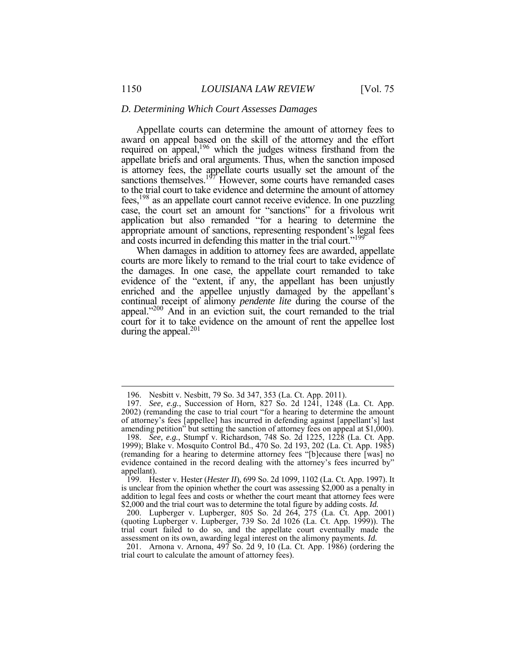#### *D. Determining Which Court Assesses Damages*

 Appellate courts can determine the amount of attorney fees to award on appeal based on the skill of the attorney and the effort appropriate amount of sanctions, representing respondent's legal fees required on appeal,<sup>196</sup> which the judges witness firsthand from the appellate briefs and oral arguments. Thus, when the sanction imposed is attorney fees, the appellate courts usually set the amount of the sanctions themselves. $197$  However, some courts have remanded cases to the trial court to take evidence and determine the amount of attorney fees,198 as an appellate court cannot receive evidence. In one puzzling case, the court set an amount for "sanctions" for a frivolous writ application but also remanded "for a hearing to determine the and costs incurred in defending this matter in the trial court."199

 When damages in addition to attorney fees are awarded, appellate courts are more likely to remand to the trial court to take evidence of evidence of the "extent, if any, the appellant has been unjustly enriched and the appellee unjustly damaged by the appellant's continual receipt of alimony *pendente lite* during the course of the the damages. In one case, the appellate court remanded to take appeal."<sup>200</sup> And in an eviction suit, the court remanded to the trial court for it to take evidence on the amount of rent the appellee lost during the appeal.<sup>201</sup>

<sup>196.</sup> Nesbitt v. Nesbitt, 79 So. 3d 347, 353 (La. Ct. App. 2011).

 2002) (remanding the case to trial court "for a hearing to determine the amount amending petition" but setting the sanction of attorney fees on appeal at \$1,000). 197. *See, e.g.*, Succession of Horn, 827 So. 2d 1241, 1248 (La. Ct. App. of attorney's fees [appellee] has incurred in defending against [appellant's] last

 1999); Blake v. Mosquito Control Bd., 470 So. 2d 193, 202 (La. Ct. App. 1985) evidence contained in the record dealing with the attorney's fees incurred by" 198. *See, e.g.*, Stumpf v. Richardson, 748 So. 2d 1225, 1228 (La. Ct. App. (remanding for a hearing to determine attorney fees "[b]ecause there [was] no appellant).

 199. Hester v. Hester (*Hester II*), 699 So. 2d 1099, 1102 (La. Ct. App. 1997). It is unclear from the opinion whether the court was assessing \$2,000 as a penalty in addition to legal fees and costs or whether the court meant that attorney fees were \$2,000 and the trial court was to determine the total figure by adding costs. *Id.* 

<sup>200.</sup> Lupberger v. Lupberger, 805 So. 2d 264, 275 (La. Ct. App. 2001) (quoting Lupberger v. Lupberger, 739 So. 2d 1026 (La. Ct. App. 1999)). The trial court failed to do so, and the appellate court eventually made the

 assessment on its own, awarding legal interest on the alimony payments. *Id.* 201. Arnona v. Arnona, 497 So. 2d 9, <sup>10</sup> (La. Ct. App. 1986) (ordering the trial court to calculate the amount of attorney fees).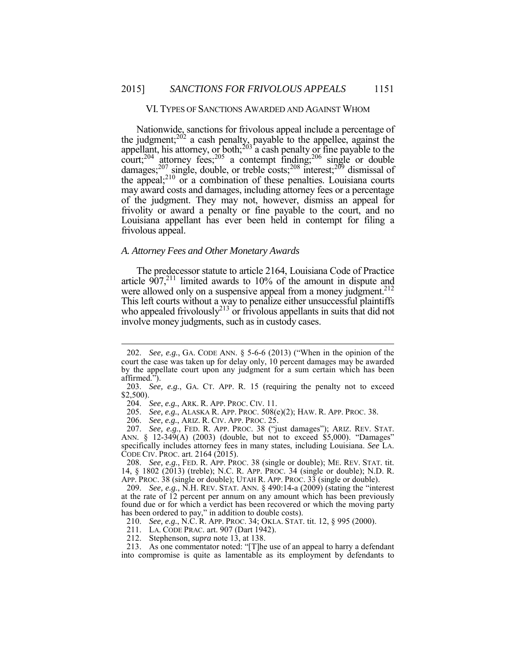#### VI. TYPES OF SANCTIONS AWARDED AND AGAINST WHOM

the judgment; $^{202}$  a cash penalty, payable to the appellee, against the  $\text{court};^{204}$  attorney fees;<sup>205</sup> a contempt finding;<sup>206</sup> single or double of the judgment. They may not, however, dismiss an appeal for Nationwide, sanctions for frivolous appeal include a percentage of appellant, his attorney, or both; $^{203}$  a cash penalty or fine payable to the damages;<sup>207</sup> single, double, or treble costs;<sup>208</sup> interest;<sup>209</sup> dismissal of the appeal;<sup>210</sup> or a combination of these penalties. Louisiana courts may award costs and damages, including attorney fees or a percentage frivolity or award a penalty or fine payable to the court, and no Louisiana appellant has ever been held in contempt for filing a frivolous appeal.

### *A. Attorney Fees and Other Monetary Awards*

 This left courts without a way to penalize either unsuccessful plaintiffs The predecessor statute to article 2164, Louisiana Code of Practice article  $907<sub>1</sub><sup>211</sup>$  limited awards to 10% of the amount in dispute and were allowed only on a suspensive appeal from a money judgment.<sup>212</sup> who appealed frivolously $2^{13}$  or frivolous appellants in suits that did not involve money judgments, such as in custody cases.

<u>.</u>

208. *See, e.g.*, FED. R. APP. PROC. 38 (single or double); ME. REV. STAT. tit. 14, § 1802 (2013) (treble); N.C. R. APP. PROC. 34 (single or double); N.D. R. APP. PROC. 38 (single or double); UTAH R. APP. PROC. 33 (single or double).

 209. *See, e.g.*, N.H. REV. STAT. ANN. § 490:14-a (2009) (stating the "interest at the rate of 12 percent per annum on any amount which has been previously found due or for which a verdict has been recovered or which the moving party has been ordered to pay," in addition to double costs).

210. *See, e.g.*, N.C. R. APP. PROC. 34; OKLA. STAT. tit. 12, § 995 (2000).

211. LA. CODE PRAC. art. 907 (Dart 1942).

212. Stephenson, *supra* note 13, at 138.

 into compromise is quite as lamentable as its employment by defendants to213. As one commentator noted: "[T]he use of an appeal to harry a defendant

 court the case was taken up for delay only, 10 percent damages may be awarded by the appellate court upon any judgment for a sum certain which has been 202. *See, e.g.*, GA. CODE ANN. § 5-6-6 (2013) ("When in the opinion of the affirmed.").

 203. *See, e.g.*, GA. CT. APP. R. 15 (requiring the penalty not to exceed \$2,500).

 204. *See*, *e.g.*, ARK. R. APP. PROC. CIV. 11.

 205. *See, e.g.*, ALASKA R. APP. PROC. 508(e)(2); HAW. R. APP. PROC. 38.

 206. *See, e.g.*, ARIZ. R. CIV. APP. PROC. 25.

 207. *See, e.g.*, FED. R. APP. PROC. 38 ("just damages"); ARIZ. REV. STAT. specifically includes attorney fees in many states, including Louisiana. *See* LA. CODE CIV. PROC. art. 2164 (2015). ANN. § 12-349(A) (2003) (double, but not to exceed \$5,000). "Damages"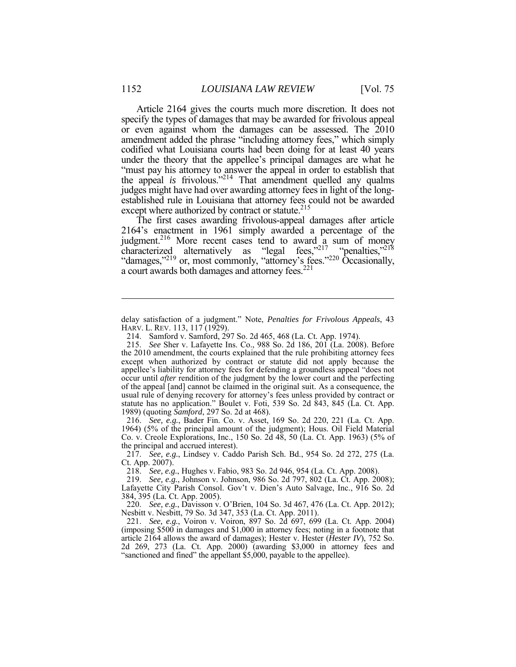codified what Louisiana courts had been doing for at least 40 years "must pay his attorney to answer the appeal in order to establish that the appeal *is* frivolous."214 That amendment quelled any qualms judges might have had over awarding attorney fees in light of the long-Article 2164 gives the courts much more discretion. It does not specify the types of damages that may be awarded for frivolous appeal or even against whom the damages can be assessed. The 2010 amendment added the phrase "including attorney fees," which simply under the theory that the appellee's principal damages are what he established rule in Louisiana that attorney fees could not be awarded except where authorized by contract or statute.<sup>215</sup>

 The first cases awarding frivolous-appeal damages after article 2164's enactment in 1961 simply awarded a percentage of the judgment.<sup>216</sup> More recent cases tend to award a sum of money characterized alternatively as "legal fees,"<sup>217</sup> "penalties,"<sup>218</sup> "damages,"<sup>219</sup> or, most commonly, "attorney's fees."<sup>220</sup> Occasionally, a court awards both damages and attorney fees.<sup>221</sup>

 216. *See, e.g.*, Bader Fin. Co. v. Asset, 169 So. 2d 220, 221 (La. Ct. App. 1964) (5% of the principal amount of the judgment); Hous. Oil Field Material Co. v. Creole Explorations, Inc., 150 So. 2d 48, 50 (La. Ct. App. 1963) (5% of the principal and accrued interest).

 217. *See, e.g.*, Lindsey v. Caddo Parish Sch. Bd., 954 So. 2d 272, 275 (La. Ct. App. 2007).

218. *See, e.g.*, Hughes v. Fabio, 983 So. 2d 946, 954 (La. Ct. App. 2008).

 Nesbitt v. Nesbitt, 79 So. 3d 347, 353 (La. Ct. App. 2011). 220. *See, e.g.*, Davisson v. O'Brien, 104 So. 3d 467, 476 (La. Ct. App. 2012);

 HARV. L. REV. 113, 117 (1929). delay satisfaction of a judgment." Note, *Penalties for Frivolous Appeals*, 43

<sup>214.</sup> Samford v. Samford, 297 So. 2d 465, 468 (La. Ct. App. 1974).

 the 2010 amendment, the courts explained that the rule prohibiting attorney fees except when authorized by contract or statute did not apply because the appellee's liability for attorney fees for defending a groundless appeal "does not occur until *after* rendition of the judgment by the lower court and the perfecting of the appeal [and] cannot be claimed in the original suit. As a consequence, the usual rule of denying recovery for attorney's fees unless provided by contract or 215. *See* Sher v. Lafayette Ins. Co., 988 So. 2d 186, 201 (La. 2008). Before statute has no application." Boulet v. Foti, 539 So. 2d 843, 845 (La. Ct. App. 1989) (quoting *Samford*, 297 So. 2d at 468).

 Lafayette City Parish Consol. Gov't v. Dien's Auto Salvage, Inc., 916 So. 2d 219. *See, e.g.*, Johnson v. Johnson, 986 So. 2d 797, 802 (La. Ct. App. 2008); 384, 395 (La. Ct. App. 2005).

 (imposing \$500 in damages and \$1,000 in attorney fees; noting in a footnote that article 2164 allows the award of damages); Hester v. Hester (*Hester IV*), 752 So. 2d 269, 273 (La. Ct. App. 2000) (awarding \$3,000 in attorney fees and 221. *See, e.g.*, Voiron v. Voiron, 897 So. 2d 697, 699 (La. Ct. App. 2004) "sanctioned and fined" the appellant \$5,000, payable to the appellee).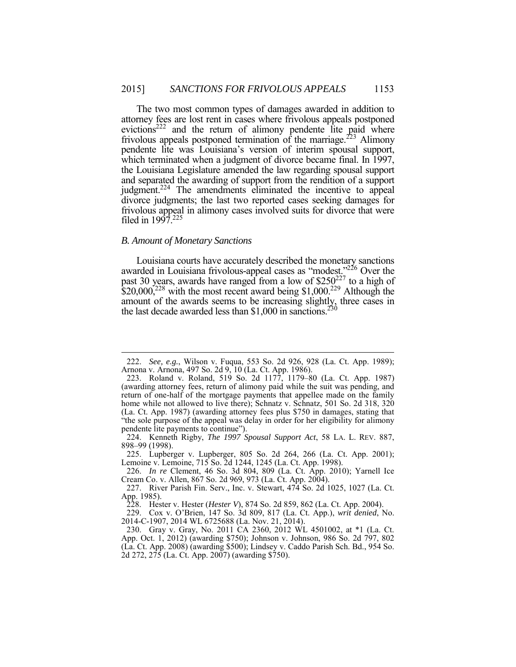attorney fees are lost rent in cases where frivolous appeals postponed evictions<sup>222</sup> and the return of alimony pendente lite paid where frivolous appeals postponed termination of the marriage.<sup>223</sup> Alimony which terminated when a judgment of divorce became final. In 1997, and separated the awarding of support from the rendition of a support judgment.<sup>224</sup> The amendments eliminated the incentive to appeal frivolous appeal in alimony cases involved suits for divorce that were The two most common types of damages awarded in addition to pendente lite was Louisiana's version of interim spousal support, the Louisiana Legislature amended the law regarding spousal support divorce judgments; the last two reported cases seeking damages for filed in  $1997^{225}$ 

### *B. Amount of Monetary Sanctions*

 $\overline{a}$ 

Ì Louisiana courts have accurately described the monetary sanctions awarded in Louisiana frivolous-appeal cases as "modest."<sup>226</sup> Over the past 30 years, awards have ranged from a low of  $$250<sup>227</sup>$  to a high of  $$20,000,^{228}$  with the most recent award being \$1,000.<sup>229</sup> Although the amount of the awards seems to be increasing slightly, three cases in the last decade awarded less than \$1,000 in sanctions.<sup>230</sup>

 Arnona v. Arnona, 497 So. 2d 9, 10 (La. Ct. App. 1986). 222. *See, e.g.*, Wilson v. Fuqua, 553 So. 2d 926, 928 (La. Ct. App. 1989);

 223. Roland v. Roland, 519 So. 2d 1177, 1179–80 (La. Ct. App. 1987) (awarding attorney fees, return of alimony paid while the suit was pending, and return of one-half of the mortgage payments that appellee made on the family (La. Ct. App. 1987) (awarding attorney fees plus \$750 in damages, stating that home while not allowed to live there); Schnatz v. Schnatz, 501 So. 2d 318, 320 "the sole purpose of the appeal was delay in order for her eligibility for alimony pendente lite payments to continue").

 224. Kenneth Rigby, *The 1997 Spousal Support Act*, 58 LA. L. REV. 887, 898–99 (1998).

 225. Lupberger v. Lupberger, 805 So. 2d 264, 266 (La. Ct. App. 2001); Lemoine v. Lemoine, 715 So. 2d 1244, 1245 (La. Ct. App. 1998).

 226. *In re* Clement, 46 So. 3d 804, 809 (La. Ct. App. 2010); Yarnell Ice Cream Co. v. Allen, 867 So. 2d 969, 973 (La. Ct. App. 2004).

 227. River Parish Fin. Serv., Inc. v. Stewart, 474 So. 2d 1025, 1027 (La. Ct. App. 1985).

<sup>228.</sup> Hester v. Hester (*Hester V*), 874 So. 2d 859, 862 (La. Ct. App. 2004).

<sup>229.</sup> Cox v. O'Brien, 147 So. 3d 809, 817 (La. Ct. App.), *writ denied*, No. 2014-C-1907, 2014 WL 6725688 (La. Nov. 21, 2014).

 230. Gray v. Gray, No. 2011 CA 2360, 2012 WL 4501002, at \*1 (La. Ct. App. Oct. 1, 2012) (awarding \$750); Johnson v. Johnson, 986 So. 2d 797, 802 (La. Ct. App. 2008) (awarding \$500); Lindsey v. Caddo Parish Sch. Bd., 954 So. 2d 272, 275 (La. Ct. App. 2007) (awarding \$750).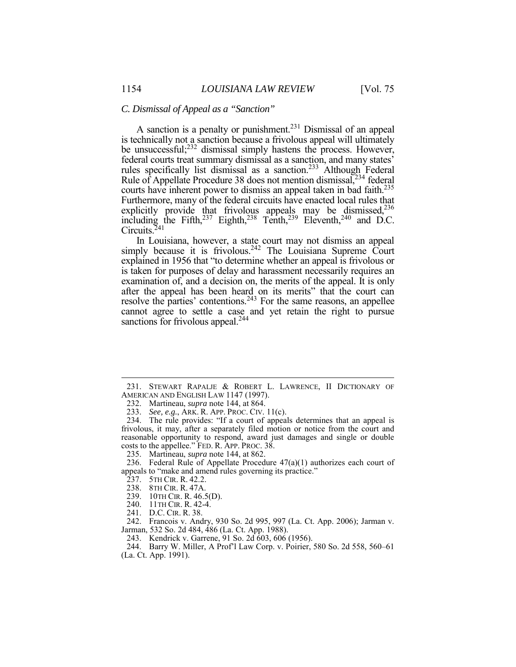#### *C. Dismissal of Appeal as a "Sanction"*

A sanction is a penalty or punishment.<sup>231</sup> Dismissal of an appeal is technically not a sanction because a frivolous appeal will ultimately rules specifically list dismissal as a sanction.<sup>233</sup> Although Federal courts have inherent power to dismiss an appeal taken in bad faith.<sup>235</sup> Furthermore, many of the federal circuits have enacted local rules that be unsuccessful;<sup>232</sup> dismissal simply hastens the process. However, federal courts treat summary dismissal as a sanction, and many states' Rule of Appellate Procedure 38 does not mention dismissal,<sup>234</sup> federal explicitly provide that frivolous appeals may be dismissed,<sup>236</sup> including the Fifth,<sup>237</sup> Eighth,<sup>238</sup> Tenth,<sup>239</sup> Eleventh,<sup>240</sup> and D.C. Circuits.<sup>241</sup>

 explained in 1956 that "to determine whether an appeal is frivolous or is taken for purposes of delay and harassment necessarily requires an examination of, and a decision on, the merits of the appeal. It is only after the appeal has been heard on its merits" that the court can resolve the parties' contentions.<sup>243</sup> For the same reasons, an appellee cannot agree to settle a case and yet retain the right to pursue In Louisiana, however, a state court may not dismiss an appeal simply because it is frivolous.<sup>242</sup> The Louisiana Supreme Court sanctions for frivolous appeal.<sup>244</sup>

 $\overline{a}$ 

241. D.C. CIR. R. 38.

243. Kendrick v. Garrene, 91 So. 2d 603, 606 (1956).

<sup>231.</sup> STEWART RAPALJE & ROBERT L. LAWRENCE, II DICTIONARY OF AMERICAN AND ENGLISH LAW 1147 (1997).

 232. Martineau, *supra* note 144, at 864.

 233. *See, e.g.*, ARK. R. APP. PROC. CIV. 11(c).

 frivolous, it may, after a separately filed motion or notice from the court and reasonable opportunity to respond, award just damages and single or double costs to the appellee." FED. R. APP. PROC. 38. 234. The rule provides: "If a court of appeals determines that an appeal is

 235. Martineau, *supra* note 144, at 862.

<sup>236.</sup> Federal Rule of Appellate Procedure  $47(a)(1)$  authorizes each court of appeals to "make and amend rules governing its practice."

 237. 5TH CIR. R. 42.2.

 238. 8TH CIR. R. 47A.

 239. 10TH CIR. R. 46.5(D).

 240. 11TH CIR. R. 42-4.

 242. Francois v. Andry, 930 So. 2d 995, 997 (La. Ct. App. 2006); Jarman v. Jarman, 532 So. 2d 484, 486 (La. Ct. App. 1988).

<sup>244.</sup> Barry W. Miller, A Prof'l Law Corp. v. Poirier, 580 So. 2d 558, 560–61 (La. Ct. App. 1991).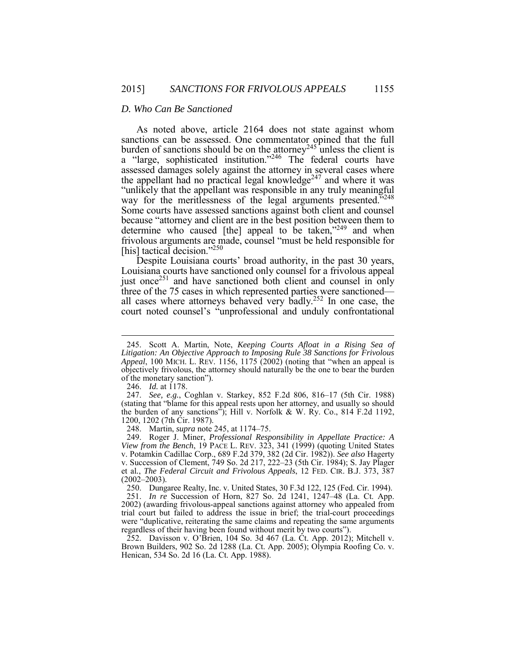#### *D. Who Can Be Sanctioned*

burden of sanctions should be on the attorney<sup>245</sup> unless the client is assessed damages solely against the attorney in several cases where the appellant had no practical legal knowledge<sup>247</sup> and where it was "unlikely that the appellant was responsible in any truly meaningful because "attorney and client are in the best position between them to determine who caused [the] appeal to be taken,"<sup>249</sup> and when As noted above, article 2164 does not state against whom sanctions can be assessed. One commentator opined that the full a "large, sophisticated institution."246 The federal courts have way for the meritlessness of the legal arguments presented."<sup>248</sup> Some courts have assessed sanctions against both client and counsel frivolous arguments are made, counsel "must be held responsible for [his] tactical decision."<sup>250</sup>

 Despite Louisiana courts' broad authority, in the past 30 years, Louisiana courts have sanctioned only counsel for <sup>a</sup> frivolous appeal Louisiana courts have sanctioned only counsel for a frivolous appeal just once<sup>251</sup> and have sanctioned both client and counsel in only three of the 75 cases in which represented parties were sanctioned all cases where attorneys behaved very badly.252 In one case, the court noted counsel's "unprofessional and unduly confrontational

 $\overline{a}$ 

248. Martin, *supra* note 245, at 1174–75.

 *View from the Bench*, 19 PACE L. REV. 323, 341 (1999) (quoting United States v. Succession of Clement, 749 So. 2d 217, 222–23 (5th Cir. 1984); S. Jay Plager et al*.*, *The Federal Circuit and Frivolous Appeals*, 12 FED. CIR. B.J. 373, 387 249. Roger J. Miner, *Professional Responsibility in Appellate Practice: A*  v. Potamkin Cadillac Corp., 689 F.2d 379, 382 (2d Cir. 1982)). *See also* Hagerty  $(2002 - 2003)$ .

 250. Dungaree Realty, Inc. v. United States, 30 F.3d 122, 125 (Fed. Cir. 1994). 251. *In re* Succession of Horn, 827 So. 2d 1241, 1247–48 (La. Ct. App. trial court but failed to address the issue in brief; the trial-court proceedings were "duplicative, reiterating the same claims and repeating the same arguments regardless of their having been found without merit by two courts"). 2002) (awarding frivolous-appeal sanctions against attorney who appealed from

 Brown Builders, 902 So. 2d 1288 (La. Ct. App. 2005); Olympia Roofing Co. v. 252. Davisson v. O'Brien, 104 So. 3d 467 (La. Ct. App. 2012); Mitchell v. Henican, 534 So. 2d 16 (La. Ct. App. 1988).

 *Appeal*, 100 MICH. L. REV. 1156, 1175 (2002) (noting that "when an appeal is objectively frivolous, the attorney should naturally be the one to bear the burden of the monetary sanction"). 245. Scott A. Martin, Note, *Keeping Courts Afloat in a Rising Sea of Litigation: An Objective Approach to Imposing Rule 38 Sanctions for Frivolous*

<sup>246.</sup> *Id.* at 1178.

 the burden of any sanctions"); Hill v. Norfolk & W. Ry. Co., 814 F.2d 1192, 247. *See, e.g.*, Coghlan v. Starkey, 852 F.2d 806, 816–17 (5th Cir. 1988) (stating that "blame for this appeal rests upon her attorney, and usually so should 1200, 1202 (7th Cir. 1987).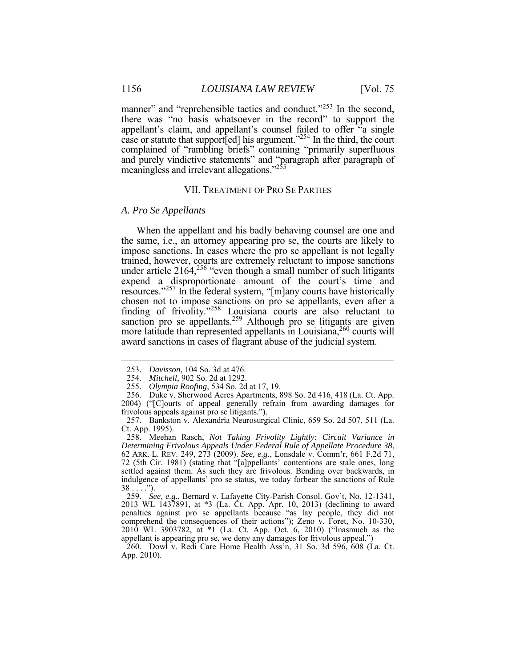manner" and "reprehensible tactics and conduct."<sup>253</sup> In the second, appellant's claim, and appellant's counsel failed to offer "a single case or statute that support[ed] his argument."<sup>254</sup> In the third, the court complained of "rambling briefs" containing "primarily superfluous there was "no basis whatsoever in the record" to support the and purely vindictive statements" and "paragraph after paragraph of meaningless and irrelevant allegations."<sup>255</sup>

# VII. TREATMENT OF PRO SE PARTIES

#### *A. Pro Se Appellants*

 When the appellant and his badly behaving counsel are one and resources."<sup>257</sup> In the federal system, "[m]any courts have historically the same, i.e., an attorney appearing pro se, the courts are likely to impose sanctions. In cases where the pro se appellant is not legally trained, however, courts are extremely reluctant to impose sanctions under article 2164,<sup>256</sup> "even though a small number of such litigants expend a disproportionate amount of the court's time and chosen not to impose sanctions on pro se appellants, even after a finding of frivolity."258 Louisiana courts are also reluctant to sanction pro se appellants.<sup>259</sup> Although pro se litigants are given more latitude than represented appellants in Louisiana,  $260$  courts will award sanctions in cases of flagrant abuse of the judicial system.

 $\overline{a}$ 

<sup>253.</sup> *Davisson*, 104 So. 3d at 476.

<sup>254.</sup> *Mitchell*, 902 So. 2d at 1292.

<sup>255.</sup> *Olympia Roofing*, 534 So. 2d at 17, 19.

 2004) ("[C]ourts of appeal generally refrain from awarding damages for 256. Duke v. Sherwood Acres Apartments, 898 So. 2d 416, 418 (La. Ct. App. frivolous appeals against pro se litigants.").

 257. Bankston v. Alexandria Neurosurgical Clinic, 659 So. 2d 507, 511 (La. Ct. App. 1995).

 *Determining Frivolous Appeals Under Federal Rule of Appellate Procedure 38*, 62 ARK. L. REV. 249, 273 (2009). *See, e.g.*, Lonsdale v. Comm'r, 661 F.2d 71, 72 (5th Cir. 1981) (stating that "[a]ppellants' contentions are stale ones, long 258. Meehan Rasch, *Not Taking Frivolity Lightly: Circuit Variance in*  settled against them. As such they are frivolous. Bending over backwards, in indulgence of appellants' pro se status, we today forbear the sanctions of Rule  $38...$  .").

 2013 WL 1437891, at \*3 (La. Ct. App. Apr. 10, 2013) (declining to award penalties against pro se appellants because "as lay people, they did not comprehend the consequences of their actions"); Zeno v. Foret, No. 10-330, appellant is appearing pro se, we deny any damages for frivolous appeal.") 259. *See, e.g.*, Bernard v. Lafayette City-Parish Consol. Gov't, No. 12-1341, 2010 WL 3903782, at \*1 (La. Ct. App. Oct. 6, 2010) ("Inasmuch as the

 260. Dowl v. Redi Care Home Health Ass'n, 31 So. 3d 596, 608 (La. Ct. App. 2010).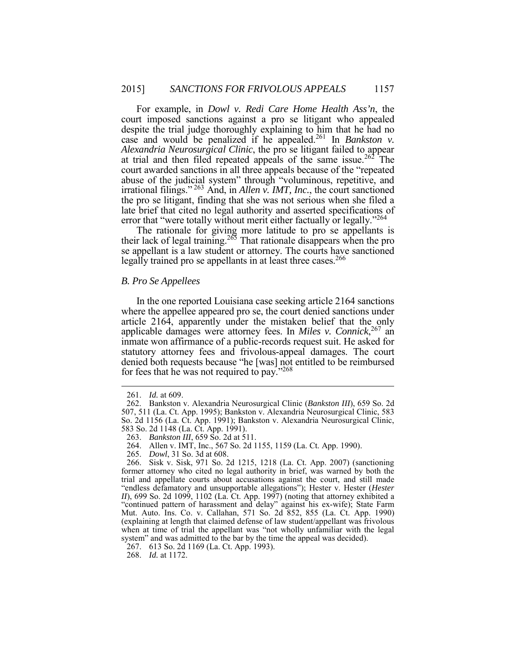court imposed sanctions against a pro se litigant who appealed despite the trial judge thoroughly explaining to him that he had no *Alexandria Neurosurgical Clinic*, the pro se litigant failed to appear at trial and then filed repeated appeals of the same issue.<sup>262</sup> The abuse of the judicial system" through "voluminous, repetitive, and the pro se litigant, finding that she was not serious when she filed a For example, in *Dowl v. Redi Care Home Health Ass'n*, the case and would be penalized if he appealed.261 In *Bankston v.*  court awarded sanctions in all three appeals because of the "repeated irrational filings." <sup>263</sup> And, in *Allen v. IMT, Inc.*, the court sanctioned late brief that cited no legal authority and asserted specifications of error that "were totally without merit either factually or legally."<sup>264</sup>

 The rationale for giving more latitude to pro se appellants is their lack of legal training.<sup>265</sup> That rationale disappears when the pro se appellant is a law student or attorney. The courts have sanctioned legally trained pro se appellants in at least three cases.<sup>266</sup>

#### *B. Pro Se Appellees*

 where the appellee appeared pro se, the court denied sanctions under applicable damages were attorney fees. In *Miles v. Connick*, 267 an statutory attorney fees and frivolous-appeal damages. The court denied both requests because "he [was] not entitled to be reimbursed In the one reported Louisiana case seeking article 2164 sanctions article 2164, apparently under the mistaken belief that the only inmate won affirmance of a public-records request suit. He asked for for fees that he was not required to pay."268

 $\overline{a}$ 

<sup>261.</sup> *Id.* at 609.

 507, 511 (La. Ct. App. 1995); Bankston v. Alexandria Neurosurgical Clinic, 583 262. Bankston v. Alexandria Neurosurgical Clinic (*Bankston III*), 659 So. 2d So. 2d 1156 (La. Ct. App. 1991); Bankston v. Alexandria Neurosurgical Clinic, 583 So. 2d 1148 (La. Ct. App. 1991).

 263. *Bankston III*, 659 So. 2d at 511.

<sup>264.</sup> Allen v. IMT, Inc., 567 So. 2d 1155, 1159 (La. Ct. App. 1990).

<sup>265.</sup> *Dowl*, 31 So. 3d at 608.

 "endless defamatory and unsupportable allegations"); Hester v. Hester (*Hester*  Mut. Auto. Ins. Co. v. Callahan, 571 So. 2d 852, 855 (La. Ct. App. 1990) (explaining at length that claimed defense of law student/appellant was frivolous when at time of trial the appellant was "not wholly unfamiliar with the legal 266. Sisk v. Sisk, 971 So. 2d 1215, 1218 (La. Ct. App. 2007) (sanctioning former attorney who cited no legal authority in brief, was warned by both the trial and appellate courts about accusations against the court, and still made *II*), 699 So. 2d 1099, 1102 (La. Ct. App. 1997) (noting that attorney exhibited a "continued pattern of harassment and delay" against his ex-wife); State Farm system" and was admitted to the bar by the time the appeal was decided).

<sup>267. 613</sup> So. 2d 1169 (La. Ct. App. 1993).

<sup>268.</sup> *Id.* at 1172.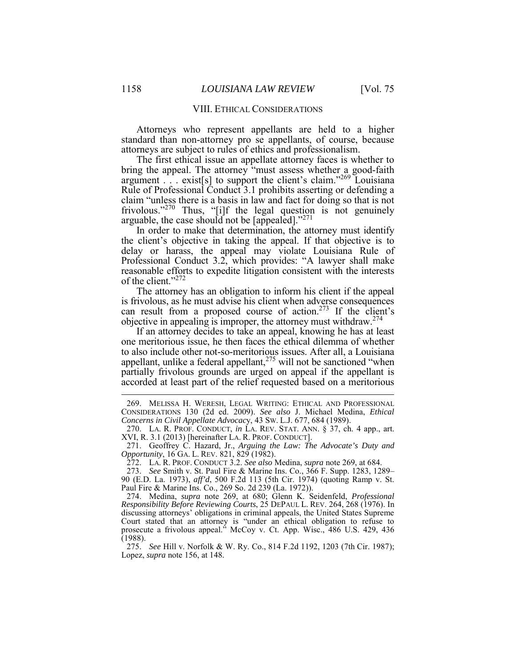#### VIII. ETHICAL CONSIDERATIONS

 Attorneys who represent appellants are held to a higher standard than non-attorney pro se appellants, of course, because attorneys are subject to rules of ethics and professionalism.

 The first ethical issue an appellate attorney faces is whether to argument  $\therefore$  exist[s] to support the client's claim."269 Louisiana bring the appeal. The attorney "must assess whether a good-faith Rule of Professional Conduct 3.1 prohibits asserting or defending a claim "unless there is a basis in law and fact for doing so that is not frivolous."<sup>270</sup> Thus, "[i]f the legal question is not genuinely arguable, the case should not be [appealed]."<sup>271</sup>

 the client's objective in taking the appeal. If that objective is to Professional Conduct 3.2, which provides: "A lawyer shall make In order to make that determination, the attorney must identify delay or harass, the appeal may violate Louisiana Rule of reasonable efforts to expedite litigation consistent with the interests of the client."272

 The attorney has an obligation to inform his client if the appeal can result from a proposed course of action.<sup>273</sup> If the client's is frivolous, as he must advise his client when adverse consequences objective in appealing is improper, the attorney must withdraw.274

 If an attorney decides to take an appeal, knowing he has at least appellant, unlike a federal appellant, $275$  will not be sanctioned "when partially frivolous grounds are urged on appeal if the appellant is accorded at least part of the relief requested based on a meritorious one meritorious issue, he then faces the ethical dilemma of whether to also include other not-so-meritorious issues. After all, a Louisiana

 275. *See* Hill v. Norfolk & W. Ry. Co., 814 F.2d 1192, 1203 (7th Cir. 1987); Lopez, *supra* note 156, at 148.

<sup>269.</sup> MELISSA H. WERESH, LEGAL WRITING: ETHICAL AND PROFESSIONAL CONSIDERATIONS 130 (2d ed. 2009). *See also* J. Michael Medina, *Ethical Concerns in Civil Appellate Advocac*y, 43 SW. L.J. 677, 684 (1989).

 270. LA. R. PROF. CONDUCT, *in* LA. REV. STAT. ANN. § 37, ch. 4 app., art. XVI, R. 3.1 (2013) [hereinafter LA. R. PROF. CONDUCT].

 *Opportunity*, 16 GA. L. REV. 821, 829 (1982). 271. Geoffrey C. Hazard, Jr., *Arguing the Law: The Advocate's Duty and* 

<sup>272.</sup> LA. R. PROF. CONDUCT 3.2. *See also* Medina, *supra* note 269, at 684.

<sup>273.</sup> *See* Smith v. St. Paul Fire & Marine Ins. Co., 366 F. Supp. 1283, 1289– 90 (E.D. La. 1973), *aff'd*, 500 F.2d 113 (5th Cir. 1974) (quoting Ramp v. St. Paul Fire & Marine Ins. Co., 269 So. 2d 239 (La. 1972)).

 274. Medina, *supra* note 269, at 680; Glenn K. Seidenfeld, *Professional*  discussing attorneys' obligations in criminal appeals, the United States Supreme *Responsibility Before Reviewing Courts*, 25 DEPAUL L. REV. 264, 268 (1976). In Court stated that an attorney is "under an ethical obligation to refuse to prosecute a frivolous appeal." McCoy v. Ct. App. Wisc., 486 U.S. 429, 436 (1988).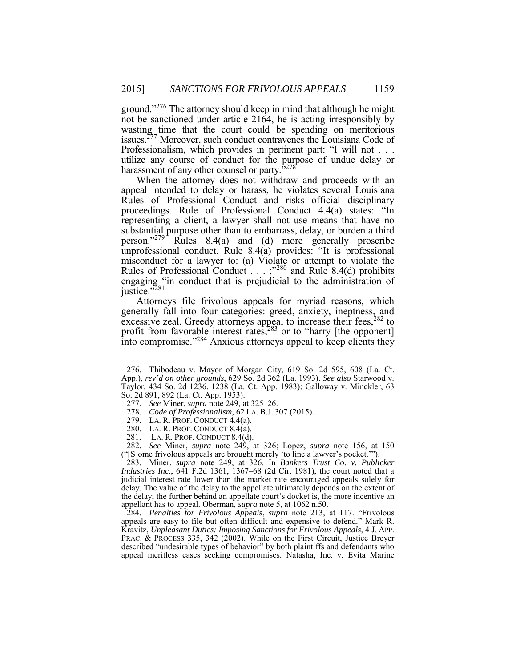wasting time that the court could be spending on meritorious Professionalism, which provides in pertinent part: "I will not . . . Professionalism, which provides in pertinent part: "I will not . . . utilize any course of conduct for the purpose of undue delay or harassment of any other counsel or party."278 ground."<sup>276</sup> The attorney should keep in mind that although he might not be sanctioned under article 2164, he is acting irresponsibly by issues.<sup>277</sup> Moreover, such conduct contravenes the Louisiana Code of

 When the attorney does not withdraw and proceeds with an appeal intended to delay or harass, he violates several Louisiana Rules of Professional Conduct and risks official disciplinary proceedings. Rule of Professional Conduct 4.4(a) states: "In representing a client, a lawyer shall not use means that have no substantial purpose other than to embarrass, delay, or burden a third person."<sup>279</sup> Rules 8.4(a) and (d) more generally proscribe unprofessional conduct. Rule 8.4(a) provides: "It is professional misconduct for a lawyer to: (a) Violate or attempt to violate the Rules of Professional Conduct . . . ; <sup>280</sup> and Rule 8.4(d) prohibits engaging "in conduct that is prejudicial to the administration of justice."281

profit from favorable interest rates, $283$  or to "harry [the opponent] Attorneys file frivolous appeals for myriad reasons, which generally fall into four categories: greed, anxiety, ineptness, and excessive zeal. Greedy attorneys appeal to increase their fees, $282$  to into compromise."<sup>284</sup> Anxious attorneys appeal to keep clients they

1

 delay. The value of the delay to the appellate ultimately depends on the extent of the delay; the further behind an appellate court's docket is, the more incentive an 283. Miner, *supra* note 249, at 326. In *Bankers Trust Co. v. Publicker Industries Inc*., 641 F.2d 1361, 1367–68 (2d Cir. 1981), the court noted that a judicial interest rate lower than the market rate encouraged appeals solely for appellant has to appeal. Oberman, *supra* note 5, at 1062 n.50.

 appeals are easy to file but often difficult and expensive to defend." Mark R. Kravitz, *Unpleasant Duties: Imposing Sanctions for Frivolous Appeals*, 4 J. APP. PRAC. & PROCESS 335, 342 (2002). While on the First Circuit, Justice Breyer described "undesirable types of behavior" by both plaintiffs and defendants who 284. *Penalties for Frivolous Appeals*, *supra* note 213, at 117. "Frivolous appeal meritless cases seeking compromises. Natasha, Inc. v. Evita Marine

 Taylor, 434 So. 2d 1236, 1238 (La. Ct. App. 1983); Galloway v. Minckler, 63 276. Thibodeau v. Mayor of Morgan City, 619 So. 2d 595, 608 (La. Ct. App.), *rev'd on other grounds*, 629 So. 2d 362 (La. 1993). *See also* Starwood v. So. 2d 891, 892 (La. Ct. App. 1953).

 277. *See* Miner, *supra* note 249, at 325–26.

 278. *Code of Professionalism*, 62 LA. B.J. 307 (2015).

 279. LA. R. PROF. CONDUCT 4.4(a).

 280. LA. R. PROF. CONDUCT 8.4(a).

<sup>281.</sup> LA. R. PROF. CONDUCT 8.4(d).

 282*. See* Miner, *supra* note 249, at 326; Lopez, *supra* note 156, at 150 ("[S]ome frivolous appeals are brought merely 'to line a lawyer's pocket.'").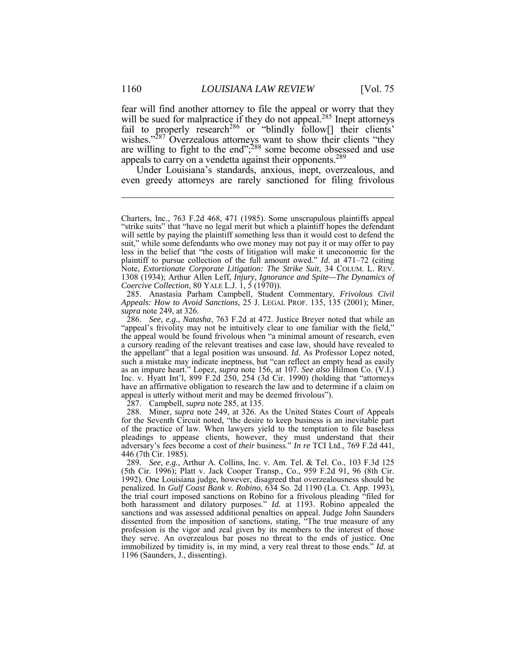fear will find another attorney to file the appeal or worry that they will be sued for malpractice if they do not appeal.<sup>285</sup> Inept attorneys fail to properly research<sup>286</sup> or "blindly follow[] their clients' wishes."<sup>287</sup> Overzealous attorneys want to show their clients "they are willing to fight to the end";<sup>288</sup> some become obsessed and use appeals to carry on a vendetta against their opponents.<sup>289</sup>

 even greedy attorneys are rarely sanctioned for filing frivolous Under Louisiana's standards, anxious, inept, overzealous, and

287. Campbell, *supra* note 285, at 135.

 Charters, Inc., 763 F.2d 468, 471 (1985). Some unscrupulous plaintiffs appeal will settle by paying the plaintiff something less than it would cost to defend the less in the belief that "the costs of litigation will make it uneconomic for the plaintiff to pursue collection of the full amount owed." *Id.* at 471–72 (citing Note, *Extortionate Corporate Litigation: The Strike Suit*, 34 COLUM. L. REV. 1308 (1934); Arthur Allen Leff, *Injury, Ignorance and Spite—The Dynamics of*  1308 (1934); Arthur Allen Leff, *Injury, Ignorance and Spite—The Dynamics of* "strike suits" that "have no legal merit but which a plaintiff hopes the defendant suit," while some defendants who owe money may not pay it or may offer to pay *Coercive Collection*, 80 YALE L.J. 1, 5 (1970)).

 285. Anastasia Parham Campbell, Student Commentary, *Frivolous Civil supra* note 249, at 326. *Appeals: How to Avoid Sanctions*, 25 J. LEGAL PROF. 135, 135 (2001); Miner,

 286. *See, e.g.*, *Natasha*, 763 F.2d at 472. Justice Breyer noted that while an the appeal would be found frivolous when "a minimal amount of research, even the appellant" that a legal position was unsound. *Id.* As Professor Lopez noted, such a mistake may indicate ineptness, but "can reflect an empty head as easily as an impure heart." Lopez, *supra* note 156, at 107. *See also* Hilmon Co. (V.I.) have an affirmative obligation to research the law and to determine if a claim on appeal is utterly without merit and may be deemed frivolous"). "appeal's frivolity may not be intuitively clear to one familiar with the field," a cursory reading of the relevant treatises and case law, should have revealed to Inc. v. Hyatt Int'l, 899 F.2d 250, 254 (3d Cir. 1990) (holding that "attorneys

 288. Miner, *supra* note 249, at 326. As the United States Court of Appeals of the practice of law. When lawyers yield to the temptation to file baseless pleadings to appease clients, however, they must understand that their for the Seventh Circuit noted, "the desire to keep business is an inevitable part adversary's fees become a cost of *their* business." *In re* TCI Ltd., 769 F.2d 441, 446 (7th Cir. 1985).

 289*. See, e.g.*, Arthur A. Collins, Inc. v. Am. Tel. & Tel. Co., 103 F.3d 125 (5th Cir. 1996); Platt v. Jack Cooper Transp., Co., 959 F.2d 91, 96 (8th Cir. 1992). One Louisiana judge, however, disagreed that overzealousness should be penalized. In *Gulf Coast Bank v. Robino*, 634 So. 2d 1190 (La. Ct. App. 1993), both harassment and dilatory purposes." *Id.* at 1193. Robino appealed the sanctions and was assessed additional penalties on appeal. Judge John Saunders dissented from the imposition of sanctions, stating, "The true measure of any they serve. An overzealous bar poses no threat to the ends of justice. One the trial court imposed sanctions on Robino for a frivolous pleading "filed for profession is the vigor and zeal given by its members to the interest of those immobilized by timidity is, in my mind, a very real threat to those ends." *Id.* at 1196 (Saunders, J., dissenting).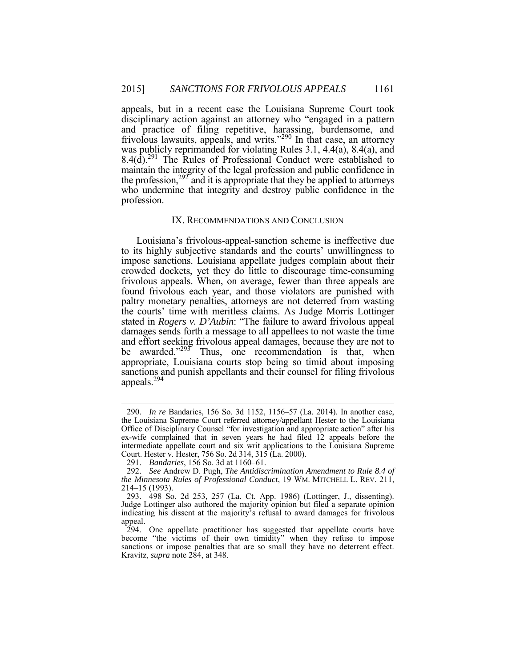appeals, but in a recent case the Louisiana Supreme Court took disciplinary action against an attorney who "engaged in a pattern and practice of filing repetitive, harassing, burdensome, and frivolous lawsuits, appeals, and writs."<sup>290</sup> In that case, an attorney was publicly reprimanded for violating Rules 3.1, 4.4(a), 8.4(a), and  $8.4(d)$ <sup>291</sup> The Rules of Professional Conduct were established to maintain the integrity of the legal profession and public confidence in the profession,<sup>292</sup> and it is appropriate that they be applied to attorneys who undermine that integrity and destroy public confidence in the profession.

#### IX. RECOMMENDATIONS AND CONCLUSION

 to its highly subjective standards and the courts' unwillingness to crowded dockets, yet they do little to discourage time-consuming paltry monetary penalties, attorneys are not deterred from wasting damages sends forth a message to all appellees to not waste the time Louisiana's frivolous-appeal-sanction scheme is ineffective due impose sanctions. Louisiana appellate judges complain about their frivolous appeals. When, on average, fewer than three appeals are found frivolous each year, and those violators are punished with the courts' time with meritless claims. As Judge Morris Lottinger stated in *Rogers v. D'Aubin*: "The failure to award frivolous appeal and effort seeking frivolous appeal damages, because they are not to be awarded."<sup>293</sup> Thus, one recommendation is that, when appropriate, Louisiana courts stop being so timid about imposing sanctions and punish appellants and their counsel for filing frivolous appeals.294

 the Louisiana Supreme Court referred attorney/appellant Hester to the Louisiana Office of Disciplinary Counsel "for investigation and appropriate action" after his ex-wife complained that in seven years he had filed 12 appeals before the intermediate appellate court and six writ applications to the Louisiana Supreme 290. *In re* Bandaries, 156 So. 3d 1152, 1156–57 (La. 2014). In another case, Court. Hester v. Hester, 756 So. 2d 314, 315 (La. 2000).

<sup>291.</sup> *Bandaries*, 156 So. 3d at 1160–61.

<sup>292.</sup> *See* Andrew D. Pugh, *The Antidiscrimination Amendment to Rule 8.4 of the Minnesota Rules of Professional Conduct*, 19 WM. MITCHELL L. REV. 211, 214–15 (1993).

 Judge Lottinger also authored the majority opinion but filed a separate opinion indicating his dissent at the majority's refusal to award damages for frivolous 293. 498 So. 2d 253, 257 (La. Ct. App. 1986) (Lottinger, J., dissenting). appeal.

 become "the victims of their own timidity" when they refuse to impose sanctions or impose penalties that are so small they have no deterrent effect. 294. One appellate practitioner has suggested that appellate courts have Kravitz, *supra* note 284, at 348.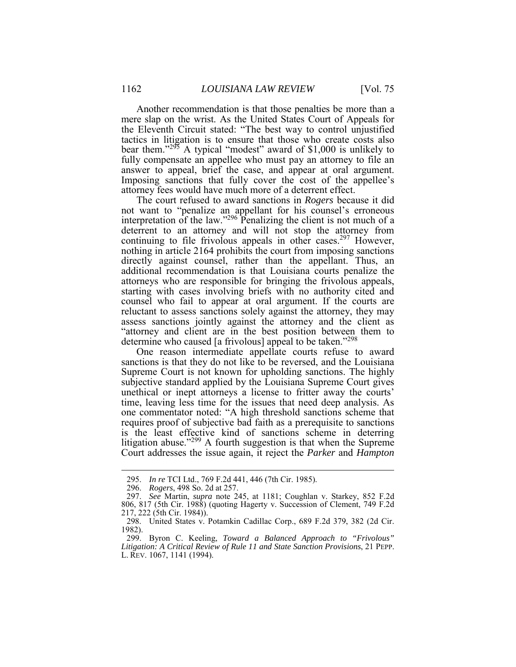Another recommendation is that those penalties be more than a mere slap on the wrist. As the United States Court of Appeals for the Eleventh Circuit stated: "The best way to control unjustified tactics in litigation is to ensure that those who create costs also bear them."<sup>295</sup> A typical "modest" award of \$1,000 is unlikely to fully compensate an appellee who must pay an attorney to file an Imposing sanctions that fully cover the cost of the appellee's answer to appeal, brief the case, and appear at oral argument. attorney fees would have much more of a deterrent effect.

 The court refused to award sanctions in *Rogers* because it did j deterrent to an attorney and will not stop the attorney from continuing to file frivolous appeals in other cases.<sup>297</sup> However, nothing in article 2164 prohibits the court from imposing sanctions attorneys who are responsible for bringing the frivolous appeals, reluctant to assess sanctions solely against the attorney, they may assess sanctions jointly against the attorney and the client as "attorney and client are in the best position between them to not want to "penalize an appellant for his counsel's erroneous interpretation of the law." $296$  Penalizing the client is not much of a directly against counsel, rather than the appellant. Thus, an additional recommendation is that Louisiana courts penalize the starting with cases involving briefs with no authority cited and counsel who fail to appear at oral argument. If the courts are determine who caused [a frivolous] appeal to be taken."<sup>298</sup>

 One reason intermediate appellate courts refuse to award unethical or inept attorneys a license to fritter away the courts' is the least effective kind of sanctions scheme in deterring sanctions is that they do not like to be reversed, and the Louisiana Supreme Court is not known for upholding sanctions. The highly subjective standard applied by the Louisiana Supreme Court gives time, leaving less time for the issues that need deep analysis. As one commentator noted: "A high threshold sanctions scheme that requires proof of subjective bad faith as a prerequisite to sanctions litigation abuse."<sup>299</sup> A fourth suggestion is that when the Supreme Court addresses the issue again, it reject the *Parker* and *Hampton* 

<sup>295.</sup> *In re* TCI Ltd., 769 F.2d 441, 446 (7th Cir. 1985).

 296. *Rogers*, 498 So. 2d at 257.

 297. *See* Martin, *supra* note 245, at 1181; Coughlan v. Starkey, 852 F.2d 806, 817 (5th Cir. 1988) (quoting Hagerty v. Succession of Clement, 749 F.2d 217, 222 (5th Cir. 1984)).

<sup>298.</sup> United States v. Potamkin Cadillac Corp., 689 F.2d 379, 382 (2d Cir. 1982).

<sup>299.</sup> Byron C. Keeling, *Toward a Balanced Approach to "Frivolous" Litigation: A Critical Review of Rule 11 and State Sanction Provisions*, 21 PEPP. L. REV. 1067, 1141 (1994).